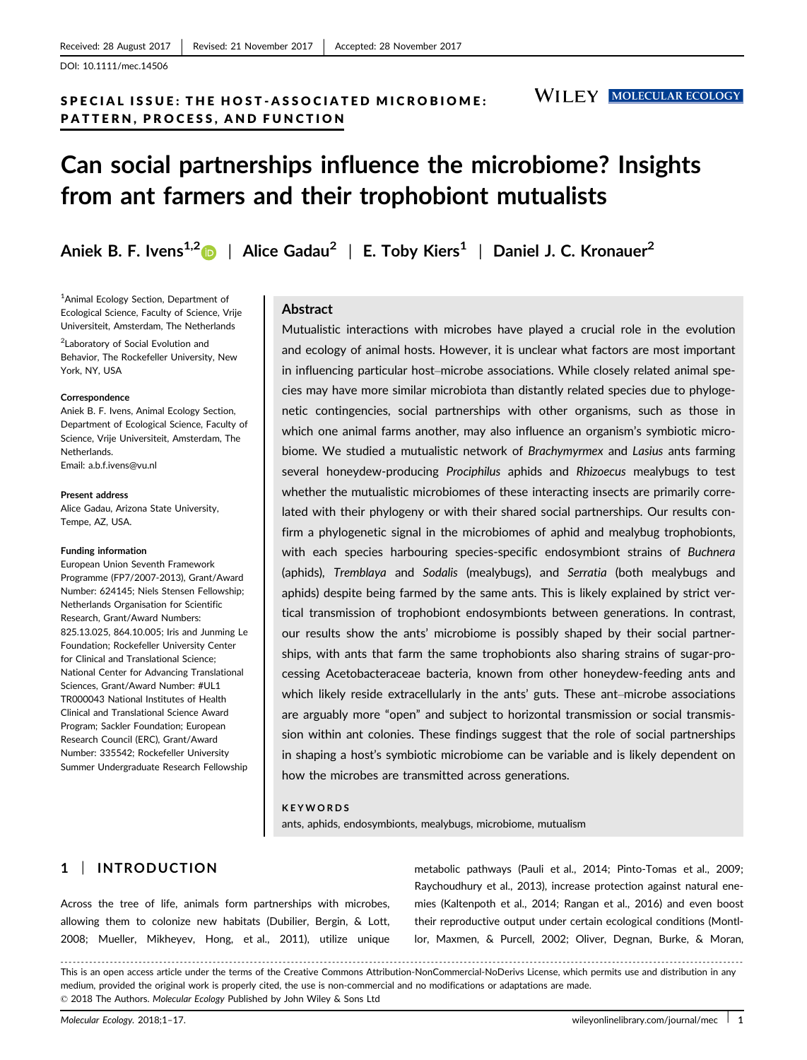DOI: 10.1111/mec.14506

# SPECIAL ISSUE: THE HOST-ASSOCIATED MICROBIOME: PATTERN, PROCESS, AND FUNCTION

**WILEY MOLECULAR ECOLOGY** 

# Can social partnerships influence the microbiome? Insights from ant farmers and their trophobiont mutualists

Aniek B. F. Ivens<sup>1,2</sup> | Alice Gadau<sup>2</sup> | E. Toby Kiers<sup>1</sup> | Daniel J. C. Kronauer<sup>2</sup>

<sup>1</sup>Animal Ecology Section, Department of Ecological Science, Faculty of Science, Vrije Universiteit, Amsterdam, The Netherlands

<sup>2</sup> Laboratory of Social Evolution and Behavior, The Rockefeller University, New York, NY, USA

#### **Correspondence**

Aniek B. F. Ivens, Animal Ecology Section, Department of Ecological Science, Faculty of Science, Vrije Universiteit, Amsterdam, The Netherlands. Email: a.b.f.ivens@vu.nl

Present address Alice Gadau, Arizona State University, Tempe, AZ, USA.

#### Funding information

European Union Seventh Framework Programme (FP7/2007-2013), Grant/Award Number: 624145; Niels Stensen Fellowship; Netherlands Organisation for Scientific Research, Grant/Award Numbers: 825.13.025, 864.10.005; Iris and Junming Le Foundation; Rockefeller University Center for Clinical and Translational Science; National Center for Advancing Translational Sciences, Grant/Award Number: #UL1 TR000043 National Institutes of Health Clinical and Translational Science Award Program; Sackler Foundation; European Research Council (ERC), Grant/Award Number: 335542; Rockefeller University Summer Undergraduate Research Fellowship

## Abstract

Mutualistic interactions with microbes have played a crucial role in the evolution and ecology of animal hosts. However, it is unclear what factors are most important in influencing particular host–microbe associations. While closely related animal species may have more similar microbiota than distantly related species due to phylogenetic contingencies, social partnerships with other organisms, such as those in which one animal farms another, may also influence an organism's symbiotic microbiome. We studied a mutualistic network of Brachymyrmex and Lasius ants farming several honeydew-producing Prociphilus aphids and Rhizoecus mealybugs to test whether the mutualistic microbiomes of these interacting insects are primarily correlated with their phylogeny or with their shared social partnerships. Our results confirm a phylogenetic signal in the microbiomes of aphid and mealybug trophobionts, with each species harbouring species-specific endosymbiont strains of Buchnera (aphids), Tremblaya and Sodalis (mealybugs), and Serratia (both mealybugs and aphids) despite being farmed by the same ants. This is likely explained by strict vertical transmission of trophobiont endosymbionts between generations. In contrast, our results show the ants' microbiome is possibly shaped by their social partnerships, with ants that farm the same trophobionts also sharing strains of sugar-processing Acetobacteraceae bacteria, known from other honeydew-feeding ants and which likely reside extracellularly in the ants' guts. These ant–microbe associations are arguably more "open" and subject to horizontal transmission or social transmission within ant colonies. These findings suggest that the role of social partnerships in shaping a host's symbiotic microbiome can be variable and is likely dependent on how the microbes are transmitted across generations.

#### KEYWORDS

ants, aphids, endosymbionts, mealybugs, microbiome, mutualism

# 1 | INTRODUCTION

Across the tree of life, animals form partnerships with microbes, allowing them to colonize new habitats (Dubilier, Bergin, & Lott, 2008; Mueller, Mikheyev, Hong, et al., 2011), utilize unique metabolic pathways (Pauli et al., 2014; Pinto-Tomas et al., 2009; Raychoudhury et al., 2013), increase protection against natural enemies (Kaltenpoth et al., 2014; Rangan et al., 2016) and even boost their reproductive output under certain ecological conditions (Montllor, Maxmen, & Purcell, 2002; Oliver, Degnan, Burke, & Moran,

------------------------------------------------------------------------------------------------------------------------------- --------------------------------------- This is an open access article under the terms of the [Creative Commons Attribution-NonCommercial-NoDerivs](http://creativecommons.org/licenses/by-nc-nd/4.0/) License, which permits use and distribution in any medium, provided the original work is properly cited, the use is non-commercial and no modifications or adaptations are made. © 2018 The Authors. Molecular Ecology Published by John Wiley & Sons Ltd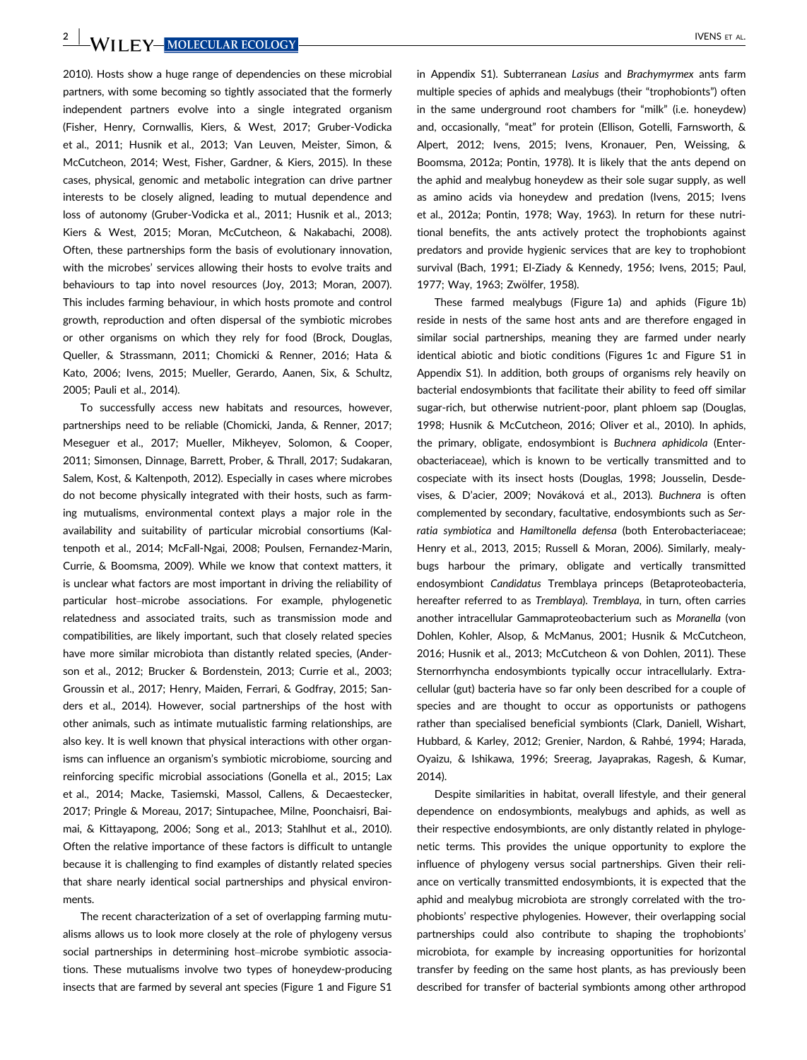**2** WILEY MOLECULAR ECOLOGY MOLECULAR 2 IVENS ET AL.

2010). Hosts show a huge range of dependencies on these microbial partners, with some becoming so tightly associated that the formerly independent partners evolve into a single integrated organism (Fisher, Henry, Cornwallis, Kiers, & West, 2017; Gruber-Vodicka et al., 2011; Husnik et al., 2013; Van Leuven, Meister, Simon, & McCutcheon, 2014; West, Fisher, Gardner, & Kiers, 2015). In these cases, physical, genomic and metabolic integration can drive partner interests to be closely aligned, leading to mutual dependence and loss of autonomy (Gruber-Vodicka et al., 2011; Husnik et al., 2013; Kiers & West, 2015; Moran, McCutcheon, & Nakabachi, 2008). Often, these partnerships form the basis of evolutionary innovation, with the microbes' services allowing their hosts to evolve traits and behaviours to tap into novel resources (Joy, 2013; Moran, 2007). This includes farming behaviour, in which hosts promote and control growth, reproduction and often dispersal of the symbiotic microbes or other organisms on which they rely for food (Brock, Douglas, Queller, & Strassmann, 2011; Chomicki & Renner, 2016; Hata & Kato, 2006; Ivens, 2015; Mueller, Gerardo, Aanen, Six, & Schultz, 2005; Pauli et al., 2014).

To successfully access new habitats and resources, however, partnerships need to be reliable (Chomicki, Janda, & Renner, 2017; Meseguer et al., 2017; Mueller, Mikheyev, Solomon, & Cooper, 2011; Simonsen, Dinnage, Barrett, Prober, & Thrall, 2017; Sudakaran, Salem, Kost, & Kaltenpoth, 2012). Especially in cases where microbes do not become physically integrated with their hosts, such as farming mutualisms, environmental context plays a major role in the availability and suitability of particular microbial consortiums (Kaltenpoth et al., 2014; McFall-Ngai, 2008; Poulsen, Fernandez-Marin, Currie, & Boomsma, 2009). While we know that context matters, it is unclear what factors are most important in driving the reliability of particular host–microbe associations. For example, phylogenetic relatedness and associated traits, such as transmission mode and compatibilities, are likely important, such that closely related species have more similar microbiota than distantly related species, (Anderson et al., 2012; Brucker & Bordenstein, 2013; Currie et al., 2003; Groussin et al., 2017; Henry, Maiden, Ferrari, & Godfray, 2015; Sanders et al., 2014). However, social partnerships of the host with other animals, such as intimate mutualistic farming relationships, are also key. It is well known that physical interactions with other organisms can influence an organism's symbiotic microbiome, sourcing and reinforcing specific microbial associations (Gonella et al., 2015; Lax et al., 2014; Macke, Tasiemski, Massol, Callens, & Decaestecker, 2017; Pringle & Moreau, 2017; Sintupachee, Milne, Poonchaisri, Baimai, & Kittayapong, 2006; Song et al., 2013; Stahlhut et al., 2010). Often the relative importance of these factors is difficult to untangle because it is challenging to find examples of distantly related species that share nearly identical social partnerships and physical environments.

The recent characterization of a set of overlapping farming mutualisms allows us to look more closely at the role of phylogeny versus social partnerships in determining host–microbe symbiotic associations. These mutualisms involve two types of honeydew-producing insects that are farmed by several ant species (Figure 1 and Figure S1 in Appendix S1). Subterranean Lasius and Brachymyrmex ants farm multiple species of aphids and mealybugs (their "trophobionts") often in the same underground root chambers for "milk" (i.e. honeydew) and, occasionally, "meat" for protein (Ellison, Gotelli, Farnsworth, & Alpert, 2012; Ivens, 2015; Ivens, Kronauer, Pen, Weissing, & Boomsma, 2012a; Pontin, 1978). It is likely that the ants depend on the aphid and mealybug honeydew as their sole sugar supply, as well as amino acids via honeydew and predation (Ivens, 2015; Ivens et al., 2012a; Pontin, 1978; Way, 1963). In return for these nutritional benefits, the ants actively protect the trophobionts against predators and provide hygienic services that are key to trophobiont survival (Bach, 1991; El-Ziady & Kennedy, 1956; Ivens, 2015; Paul, 1977; Way, 1963; Zwölfer, 1958).

These farmed mealybugs (Figure 1a) and aphids (Figure 1b) reside in nests of the same host ants and are therefore engaged in similar social partnerships, meaning they are farmed under nearly identical abiotic and biotic conditions (Figures 1c and Figure S1 in Appendix S1). In addition, both groups of organisms rely heavily on bacterial endosymbionts that facilitate their ability to feed off similar sugar-rich, but otherwise nutrient-poor, plant phloem sap (Douglas, 1998; Husnik & McCutcheon, 2016; Oliver et al., 2010). In aphids, the primary, obligate, endosymbiont is Buchnera aphidicola (Enterobacteriaceae), which is known to be vertically transmitted and to cospeciate with its insect hosts (Douglas, 1998; Jousselin, Desdevises, & D'acier, 2009; Nováková et al., 2013). Buchnera is often complemented by secondary, facultative, endosymbionts such as Serratia symbiotica and Hamiltonella defensa (both Enterobacteriaceae; Henry et al., 2013, 2015; Russell & Moran, 2006). Similarly, mealybugs harbour the primary, obligate and vertically transmitted endosymbiont Candidatus Tremblaya princeps (Betaproteobacteria, hereafter referred to as Tremblaya). Tremblaya, in turn, often carries another intracellular Gammaproteobacterium such as Moranella (von Dohlen, Kohler, Alsop, & McManus, 2001; Husnik & McCutcheon, 2016; Husnik et al., 2013; McCutcheon & von Dohlen, 2011). These Sternorrhyncha endosymbionts typically occur intracellularly. Extracellular (gut) bacteria have so far only been described for a couple of species and are thought to occur as opportunists or pathogens rather than specialised beneficial symbionts (Clark, Daniell, Wishart, Hubbard, & Karley, 2012; Grenier, Nardon, & Rahbé, 1994; Harada, Oyaizu, & Ishikawa, 1996; Sreerag, Jayaprakas, Ragesh, & Kumar, 2014).

Despite similarities in habitat, overall lifestyle, and their general dependence on endosymbionts, mealybugs and aphids, as well as their respective endosymbionts, are only distantly related in phylogenetic terms. This provides the unique opportunity to explore the influence of phylogeny versus social partnerships. Given their reliance on vertically transmitted endosymbionts, it is expected that the aphid and mealybug microbiota are strongly correlated with the trophobionts' respective phylogenies. However, their overlapping social partnerships could also contribute to shaping the trophobionts' microbiota, for example by increasing opportunities for horizontal transfer by feeding on the same host plants, as has previously been described for transfer of bacterial symbionts among other arthropod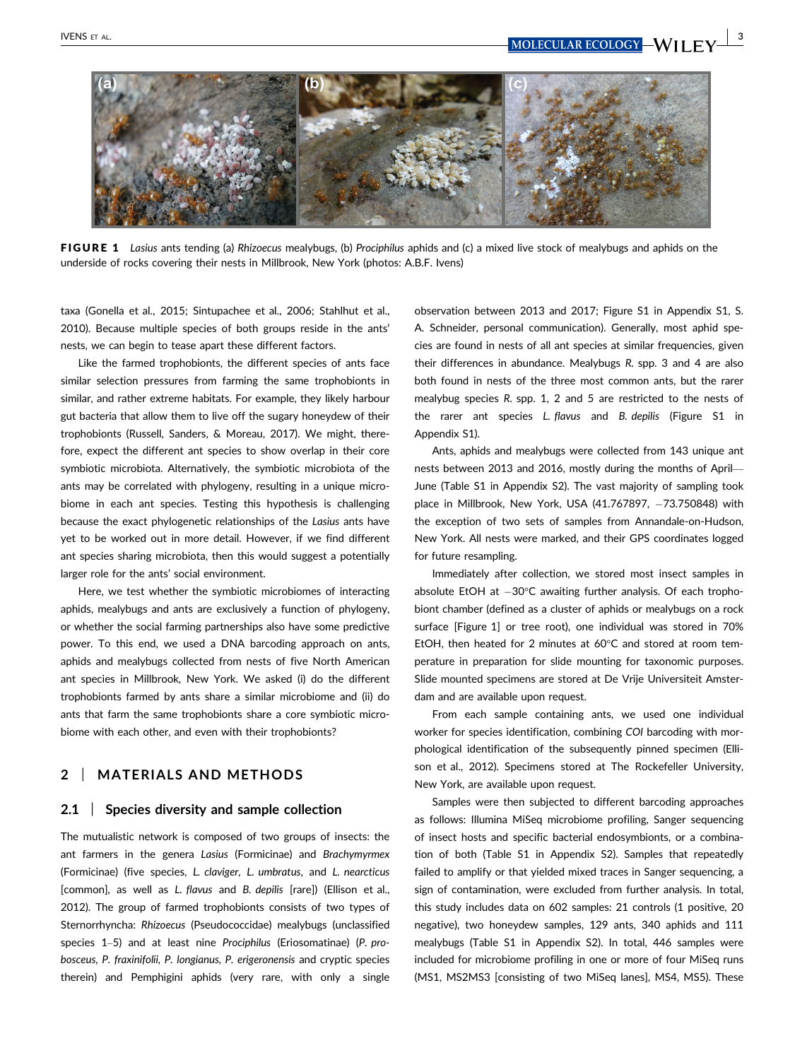

FIGURE 1 Lasius ants tending (a) Rhizoecus mealybugs, (b) Prociphilus aphids and (c) a mixed live stock of mealybugs and aphids on the underside of rocks covering their nests in Millbrook, New York (photos: A.B.F. Ivens)

taxa (Gonella et al., 2015; Sintupachee et al., 2006; Stahlhut et al., 2010). Because multiple species of both groups reside in the ants' nests, we can begin to tease apart these different factors.

Like the farmed trophobionts, the different species of ants face similar selection pressures from farming the same trophobionts in similar, and rather extreme habitats. For example, they likely harbour gut bacteria that allow them to live off the sugary honeydew of their trophobionts (Russell, Sanders, & Moreau, 2017). We might, therefore, expect the different ant species to show overlap in their core symbiotic microbiota. Alternatively, the symbiotic microbiota of the ants may be correlated with phylogeny, resulting in a unique microbiome in each ant species. Testing this hypothesis is challenging because the exact phylogenetic relationships of the Lasius ants have yet to be worked out in more detail. However, if we find different ant species sharing microbiota, then this would suggest a potentially larger role for the ants' social environment.

Here, we test whether the symbiotic microbiomes of interacting aphids, mealybugs and ants are exclusively a function of phylogeny, or whether the social farming partnerships also have some predictive power. To this end, we used a DNA barcoding approach on ants, aphids and mealybugs collected from nests of five North American ant species in Millbrook, New York. We asked (i) do the different trophobionts farmed by ants share a similar microbiome and (ii) do ants that farm the same trophobionts share a core symbiotic microbiome with each other, and even with their trophobionts?

# 2 | MATERIALS AND METHODS

#### 2.1 Species diversity and sample collection

The mutualistic network is composed of two groups of insects: the ant farmers in the genera Lasius (Formicinae) and Brachymyrmex (Formicinae) (five species, L. claviger, L. umbratus, and L. nearcticus [common], as well as L. flavus and B. depilis [rare]) (Ellison et al., 2012). The group of farmed trophobionts consists of two types of Sternorrhyncha: Rhizoecus (Pseudococcidae) mealybugs (unclassified species 1–5) and at least nine Prociphilus (Eriosomatinae) (P. probosceus, P. fraxinifolii, P. longianus, P. erigeronensis and cryptic species therein) and Pemphigini aphids (very rare, with only a single observation between 2013 and 2017; Figure S1 in Appendix S1, S. A. Schneider, personal communication). Generally, most aphid species are found in nests of all ant species at similar frequencies, given their differences in abundance. Mealybugs R. spp. 3 and 4 are also both found in nests of the three most common ants, but the rarer mealybug species R. spp. 1, 2 and 5 are restricted to the nests of the rarer ant species L. flavus and B. depilis (Figure S1 in Appendix S1).

Ants, aphids and mealybugs were collected from 143 unique ant nests between 2013 and 2016, mostly during the months of April— June (Table S1 in Appendix S2). The vast majority of sampling took place in Millbrook, New York, USA  $(41.767897, -73.750848)$  with the exception of two sets of samples from Annandale-on-Hudson, New York. All nests were marked, and their GPS coordinates logged for future resampling.

Immediately after collection, we stored most insect samples in absolute EtOH at  $-30^{\circ}$ C awaiting further analysis. Of each trophobiont chamber (defined as a cluster of aphids or mealybugs on a rock surface [Figure 1] or tree root), one individual was stored in 70% EtOH, then heated for 2 minutes at 60°C and stored at room temperature in preparation for slide mounting for taxonomic purposes. Slide mounted specimens are stored at De Vrije Universiteit Amsterdam and are available upon request.

From each sample containing ants, we used one individual worker for species identification, combining COI barcoding with morphological identification of the subsequently pinned specimen (Ellison et al., 2012). Specimens stored at The Rockefeller University, New York, are available upon request.

Samples were then subjected to different barcoding approaches as follows: Illumina MiSeq microbiome profiling, Sanger sequencing of insect hosts and specific bacterial endosymbionts, or a combination of both (Table S1 in Appendix S2). Samples that repeatedly failed to amplify or that yielded mixed traces in Sanger sequencing, a sign of contamination, were excluded from further analysis. In total, this study includes data on 602 samples: 21 controls (1 positive, 20 negative), two honeydew samples, 129 ants, 340 aphids and 111 mealybugs (Table S1 in Appendix S2). In total, 446 samples were included for microbiome profiling in one or more of four MiSeq runs (MS1, MS2MS3 [consisting of two MiSeq lanes], MS4, MS5). These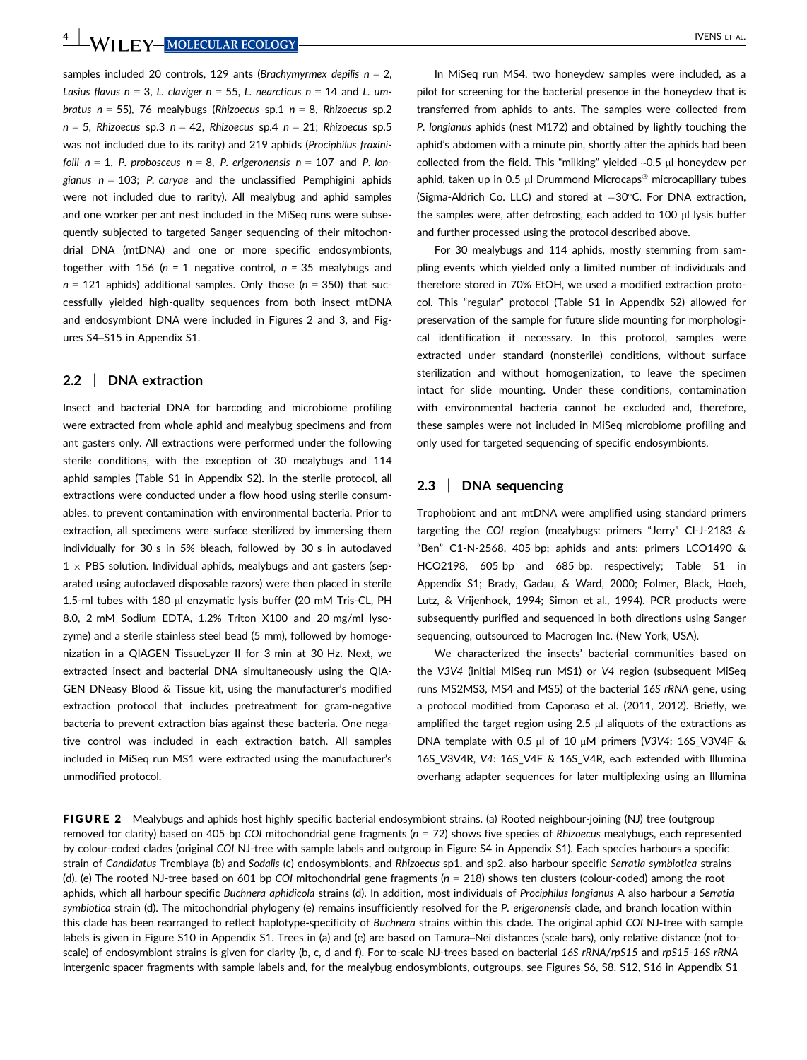samples included 20 controls, 129 ants (Brachymyrmex depilis  $n = 2$ , Lasius flavus  $n = 3$ , L. claviger  $n = 55$ , L. nearcticus  $n = 14$  and L. umbratus  $n = 55$ ), 76 mealybugs (Rhizoecus sp.1  $n = 8$ , Rhizoecus sp.2  $n = 5$ , Rhizoecus sp.3 n = 42, Rhizoecus sp.4 n = 21; Rhizoecus sp.5 was not included due to its rarity) and 219 aphids (Prociphilus fraxinifolii  $n = 1$ , P. probosceus  $n = 8$ , P. erigeronensis  $n = 107$  and P. longianus  $n = 103$ ; P. caryae and the unclassified Pemphigini aphids were not included due to rarity). All mealybug and aphid samples and one worker per ant nest included in the MiSeq runs were subsequently subjected to targeted Sanger sequencing of their mitochondrial DNA (mtDNA) and one or more specific endosymbionts, together with 156 ( $n = 1$  negative control,  $n = 35$  mealybugs and  $n = 121$  aphids) additional samples. Only those ( $n = 350$ ) that successfully yielded high-quality sequences from both insect mtDNA and endosymbiont DNA were included in Figures 2 and 3, and Figures S4–S15 in Appendix S1.

#### 2.2 | DNA extraction

Insect and bacterial DNA for barcoding and microbiome profiling were extracted from whole aphid and mealybug specimens and from ant gasters only. All extractions were performed under the following sterile conditions, with the exception of 30 mealybugs and 114 aphid samples (Table S1 in Appendix S2). In the sterile protocol, all extractions were conducted under a flow hood using sterile consumables, to prevent contamination with environmental bacteria. Prior to extraction, all specimens were surface sterilized by immersing them individually for 30 s in 5% bleach, followed by 30 s in autoclaved  $1 \times$  PBS solution. Individual aphids, mealybugs and ant gasters (separated using autoclaved disposable razors) were then placed in sterile 1.5-ml tubes with 180 µl enzymatic lysis buffer (20 mM Tris-CL, PH 8.0, 2 mM Sodium EDTA, 1.2% Triton X100 and 20 mg/ml lysozyme) and a sterile stainless steel bead (5 mm), followed by homogenization in a QIAGEN TissueLyzer II for 3 min at 30 Hz. Next, we extracted insect and bacterial DNA simultaneously using the QIA-GEN DNeasy Blood & Tissue kit, using the manufacturer's modified extraction protocol that includes pretreatment for gram-negative bacteria to prevent extraction bias against these bacteria. One negative control was included in each extraction batch. All samples included in MiSeq run MS1 were extracted using the manufacturer's unmodified protocol.

In MiSeq run MS4, two honeydew samples were included, as a pilot for screening for the bacterial presence in the honeydew that is transferred from aphids to ants. The samples were collected from P. longianus aphids (nest M172) and obtained by lightly touching the aphid's abdomen with a minute pin, shortly after the aphids had been collected from the field. This "milking" yielded  $\sim$ 0.5 µl honeydew per aphid, taken up in 0.5  $\mu$ l Drummond Microcaps<sup>®</sup> microcapillary tubes (Sigma-Aldrich Co. LLC) and stored at  $-30^{\circ}$ C. For DNA extraction, the samples were, after defrosting, each added to  $100$   $\mu$ l lysis buffer and further processed using the protocol described above.

For 30 mealybugs and 114 aphids, mostly stemming from sampling events which yielded only a limited number of individuals and therefore stored in 70% EtOH, we used a modified extraction protocol. This "regular" protocol (Table S1 in Appendix S2) allowed for preservation of the sample for future slide mounting for morphological identification if necessary. In this protocol, samples were extracted under standard (nonsterile) conditions, without surface sterilization and without homogenization, to leave the specimen intact for slide mounting. Under these conditions, contamination with environmental bacteria cannot be excluded and, therefore, these samples were not included in MiSeq microbiome profiling and only used for targeted sequencing of specific endosymbionts.

#### 2.3 | DNA sequencing

Trophobiont and ant mtDNA were amplified using standard primers targeting the COI region (mealybugs: primers "Jerry" CI-J-2183 & "Ben" C1-N-2568, 405 bp; aphids and ants: primers LCO1490 & HCO2198, 605 bp and 685 bp, respectively; Table S1 in Appendix S1; Brady, Gadau, & Ward, 2000; Folmer, Black, Hoeh, Lutz, & Vrijenhoek, 1994; Simon et al., 1994). PCR products were subsequently purified and sequenced in both directions using Sanger sequencing, outsourced to Macrogen Inc. (New York, USA).

We characterized the insects' bacterial communities based on the V3V4 (initial MiSeq run MS1) or V4 region (subsequent MiSeq runs MS2MS3, MS4 and MS5) of the bacterial 16S rRNA gene, using a protocol modified from Caporaso et al. (2011, 2012). Briefly, we amplified the target region using  $2.5 \mu$  aliquots of the extractions as DNA template with 0.5  $\mu$ l of 10  $\mu$ M primers (V3V4: 16S\_V3V4F & 16S\_V3V4R, V4: 16S\_V4F & 16S\_V4R, each extended with Illumina overhang adapter sequences for later multiplexing using an Illumina

**FIGURE 2** Mealybugs and aphids host highly specific bacterial endosymbiont strains. (a) Rooted neighbour-joining (NJ) tree (outgroup removed for clarity) based on 405 bp COI mitochondrial gene fragments  $(n = 72)$  shows five species of Rhizoecus mealybugs, each represented by colour-coded clades (original COI NJ-tree with sample labels and outgroup in Figure S4 in Appendix S1). Each species harbours a specific strain of Candidatus Tremblaya (b) and Sodalis (c) endosymbionts, and Rhizoecus sp1. and sp2. also harbour specific Serratia symbiotica strains (d). (e) The rooted NJ-tree based on 601 bp COI mitochondrial gene fragments ( $n = 218$ ) shows ten clusters (colour-coded) among the root aphids, which all harbour specific Buchnera aphidicola strains (d). In addition, most individuals of Prociphilus longianus A also harbour a Serratia symbiotica strain (d). The mitochondrial phylogeny (e) remains insufficiently resolved for the P. erigeronensis clade, and branch location within this clade has been rearranged to reflect haplotype-specificity of Buchnera strains within this clade. The original aphid COI NJ-tree with sample labels is given in Figure S10 in Appendix S1. Trees in (a) and (e) are based on Tamura–Nei distances (scale bars), only relative distance (not toscale) of endosymbiont strains is given for clarity (b, c, d and f). For to-scale NJ-trees based on bacterial 16S rRNA/rpS15 and rpS15-16S rRNA intergenic spacer fragments with sample labels and, for the mealybug endosymbionts, outgroups, see Figures S6, S8, S12, S16 in Appendix S1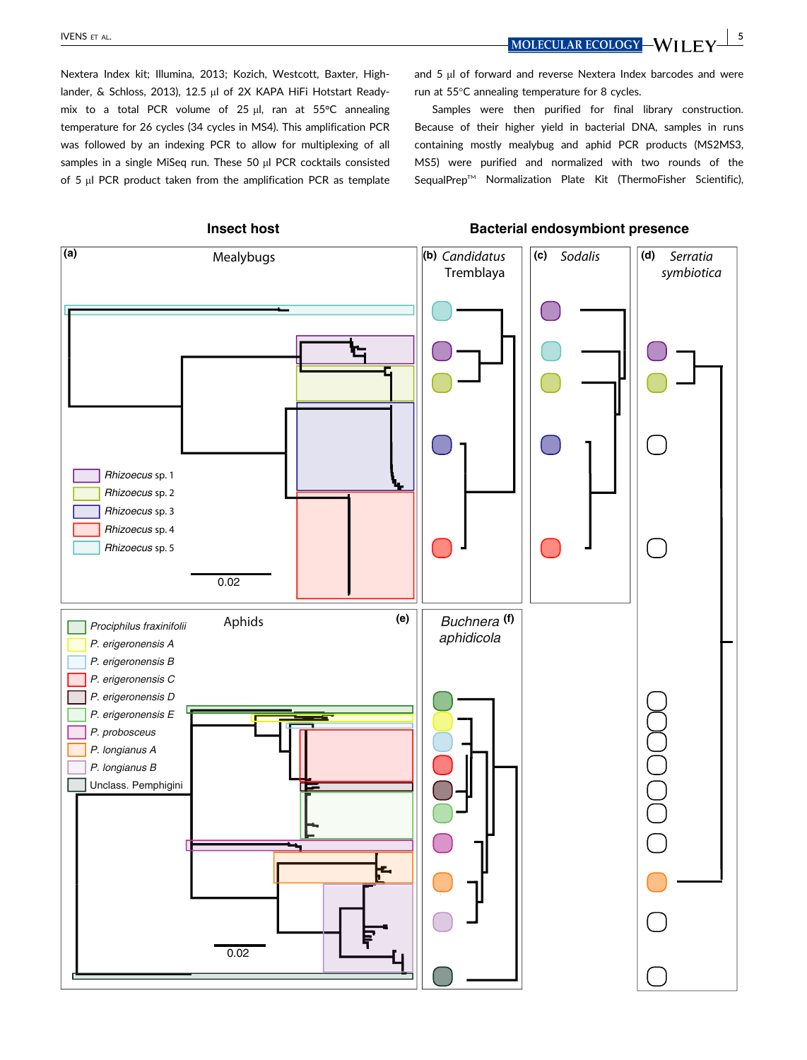IVENS ET AL.  $\blacksquare$  MOLECULAR ECOLOGY  $\blacksquare$  MILEY  $\blacksquare$  5

Nextera Index kit; Illumina, 2013; Kozich, Westcott, Baxter, Highlander, & Schloss, 2013), 12.5 µl of 2X KAPA HiFi Hotstart Readymix to a total PCR volume of 25  $\mu$ l, ran at 55°C annealing temperature for 26 cycles (34 cycles in MS4). This amplification PCR was followed by an indexing PCR to allow for multiplexing of all samples in a single MiSeq run. These 50  $\mu$ l PCR cocktails consisted of 5 µl PCR product taken from the amplification PCR as template and  $5 \mu$ l of forward and reverse Nextera Index barcodes and were run at 55°C annealing temperature for 8 cycles.

Samples were then purified for final library construction. Because of their higher yield in bacterial DNA, samples in runs containing mostly mealybug and aphid PCR products (MS2MS3, MS5) were purified and normalized with two rounds of the SequalPrep<sup>™</sup> Normalization Plate Kit (ThermoFisher Scientific),

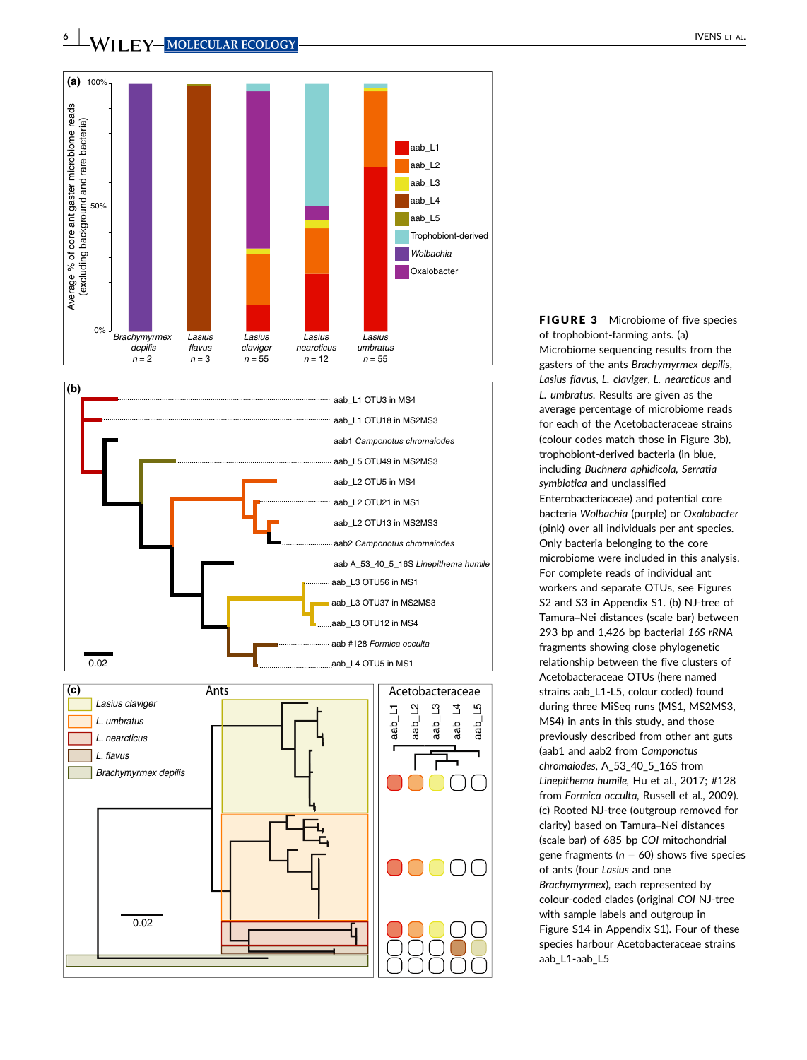



FIGURE 3 Microbiome of five species of trophobiont-farming ants. (a) Microbiome sequencing results from the gasters of the ants Brachymyrmex depilis, Lasius flavus, L. claviger, L. nearcticus and L. umbratus. Results are given as the average percentage of microbiome reads for each of the Acetobacteraceae strains (colour codes match those in Figure 3b), trophobiont-derived bacteria (in blue, including Buchnera aphidicola, Serratia symbiotica and unclassified Enterobacteriaceae) and potential core bacteria Wolbachia (purple) or Oxalobacter (pink) over all individuals per ant species. Only bacteria belonging to the core microbiome were included in this analysis. For complete reads of individual ant workers and separate OTUs, see Figures S2 and S3 in Appendix S1. (b) NJ-tree of Tamura–Nei distances (scale bar) between 293 bp and 1,426 bp bacterial 16S rRNA fragments showing close phylogenetic relationship between the five clusters of Acetobacteraceae OTUs (here named strains aab\_L1-L5, colour coded) found during three MiSeq runs (MS1, MS2MS3, MS4) in ants in this study, and those previously described from other ant guts (aab1 and aab2 from Camponotus chromaiodes, A\_53\_40\_5\_16S from Linepithema humile, Hu et al., 2017; #128 from Formica occulta, Russell et al., 2009). (c) Rooted NJ-tree (outgroup removed for clarity) based on Tamura–Nei distances (scale bar) of 685 bp COI mitochondrial gene fragments ( $n = 60$ ) shows five species of ants (four Lasius and one Brachymyrmex), each represented by colour-coded clades (original COI NJ-tree with sample labels and outgroup in Figure S14 in Appendix S1). Four of these species harbour Acetobacteraceae strains aab\_L1-aab\_L5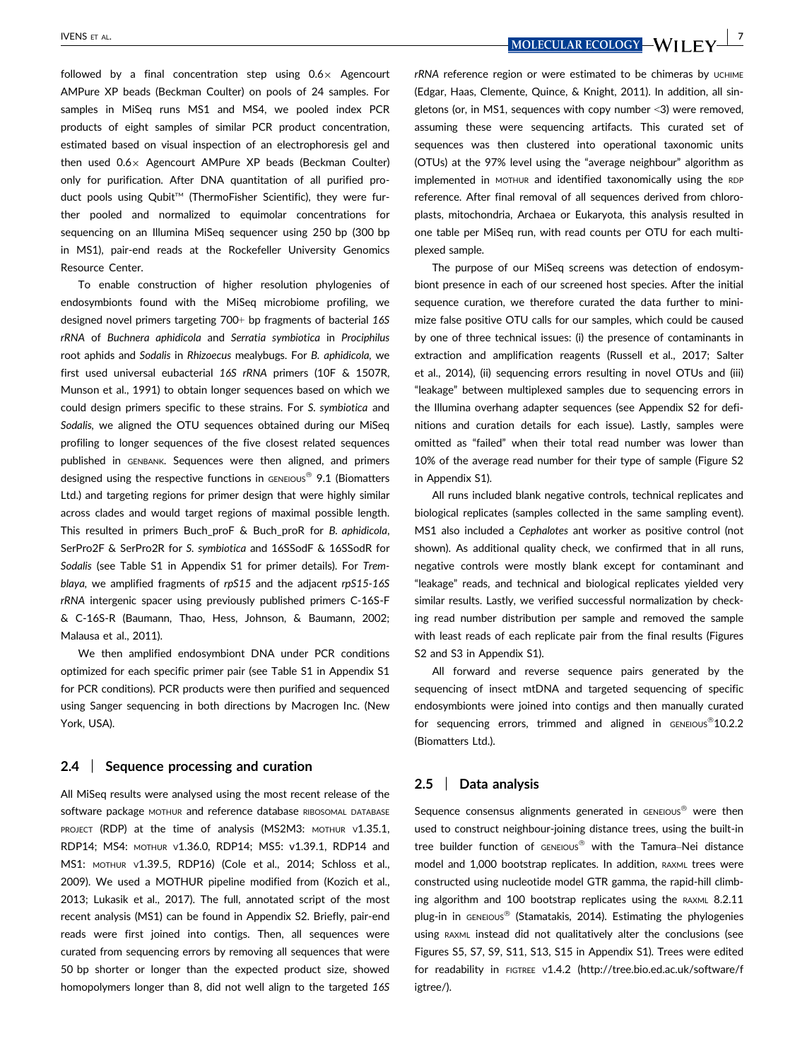followed by a final concentration step using  $0.6\times$  Agencourt AMPure XP beads (Beckman Coulter) on pools of 24 samples. For samples in MiSeq runs MS1 and MS4, we pooled index PCR products of eight samples of similar PCR product concentration, estimated based on visual inspection of an electrophoresis gel and then used  $0.6\times$  Agencourt AMPure XP beads (Beckman Coulter) only for purification. After DNA quantitation of all purified product pools using Qubit™ (ThermoFisher Scientific), they were further pooled and normalized to equimolar concentrations for sequencing on an Illumina MiSeq sequencer using 250 bp (300 bp in MS1), pair-end reads at the Rockefeller University Genomics Resource Center.

To enable construction of higher resolution phylogenies of endosymbionts found with the MiSeq microbiome profiling, we designed novel primers targeting 700+ bp fragments of bacterial 16S rRNA of Buchnera aphidicola and Serratia symbiotica in Prociphilus root aphids and Sodalis in Rhizoecus mealybugs. For B. aphidicola, we first used universal eubacterial 16S rRNA primers (10F & 1507R, Munson et al., 1991) to obtain longer sequences based on which we could design primers specific to these strains. For S. symbiotica and Sodalis, we aligned the OTU sequences obtained during our MiSeq profiling to longer sequences of the five closest related sequences published in GENBANK. Sequences were then aligned, and primers designed using the respective functions in GENEIOUS<sup>®</sup> 9.1 (Biomatters Ltd.) and targeting regions for primer design that were highly similar across clades and would target regions of maximal possible length. This resulted in primers Buch\_proF & Buch\_proR for B. aphidicola, SerPro2F & SerPro2R for S. symbiotica and 16SSodF & 16SSodR for Sodalis (see Table S1 in Appendix S1 for primer details). For Tremblaya, we amplified fragments of rpS15 and the adjacent rpS15-16S rRNA intergenic spacer using previously published primers C-16S-F & C-16S-R (Baumann, Thao, Hess, Johnson, & Baumann, 2002; Malausa et al., 2011).

We then amplified endosymbiont DNA under PCR conditions optimized for each specific primer pair (see Table S1 in Appendix S1 for PCR conditions). PCR products were then purified and sequenced using Sanger sequencing in both directions by Macrogen Inc. (New York, USA).

#### 2.4 | Sequence processing and curation

All MiSeq results were analysed using the most recent release of the software package MOTHUR and reference database RIBOSOMAL DATABASE PROJECT (RDP) at the time of analysis (MS2M3: MOTHUR v1.35.1, RDP14; MS4: MOTHUR V1.36.0, RDP14; MS5: v1.39.1, RDP14 and MS1: MOTHUR V1.39.5, RDP16) (Cole et al., 2014; Schloss et al., 2009). We used a MOTHUR pipeline modified from (Kozich et al., 2013; Lukasik et al., 2017). The full, annotated script of the most recent analysis (MS1) can be found in Appendix S2. Briefly, pair-end reads were first joined into contigs. Then, all sequences were curated from sequencing errors by removing all sequences that were 50 bp shorter or longer than the expected product size, showed homopolymers longer than 8, did not well align to the targeted 16S

 $N$ ENS ET AL.  $N$  is the contract of the contract of the contract of the contract of the contract of the contract of the contract of the contract of the contract of the contract of the contract of the contract of the cont

rRNA reference region or were estimated to be chimeras by UCHIME (Edgar, Haas, Clemente, Quince, & Knight, 2011). In addition, all singletons (or, in MS1, sequences with copy number <3) were removed, assuming these were sequencing artifacts. This curated set of sequences was then clustered into operational taxonomic units (OTUs) at the 97% level using the "average neighbour" algorithm as implemented in MOTHUR and identified taxonomically using the RDP reference. After final removal of all sequences derived from chloroplasts, mitochondria, Archaea or Eukaryota, this analysis resulted in one table per MiSeq run, with read counts per OTU for each multiplexed sample.

The purpose of our MiSeq screens was detection of endosymbiont presence in each of our screened host species. After the initial sequence curation, we therefore curated the data further to minimize false positive OTU calls for our samples, which could be caused by one of three technical issues: (i) the presence of contaminants in extraction and amplification reagents (Russell et al., 2017; Salter et al., 2014), (ii) sequencing errors resulting in novel OTUs and (iii) "leakage" between multiplexed samples due to sequencing errors in the Illumina overhang adapter sequences (see Appendix S2 for definitions and curation details for each issue). Lastly, samples were omitted as "failed" when their total read number was lower than 10% of the average read number for their type of sample (Figure S2 in Appendix S1).

All runs included blank negative controls, technical replicates and biological replicates (samples collected in the same sampling event). MS1 also included a Cephalotes ant worker as positive control (not shown). As additional quality check, we confirmed that in all runs, negative controls were mostly blank except for contaminant and "leakage" reads, and technical and biological replicates yielded very similar results. Lastly, we verified successful normalization by checking read number distribution per sample and removed the sample with least reads of each replicate pair from the final results (Figures S2 and S3 in Appendix S1).

All forward and reverse sequence pairs generated by the sequencing of insect mtDNA and targeted sequencing of specific endosymbionts were joined into contigs and then manually curated for sequencing errors, trimmed and aligned in  $GENEIO.2.2$ (Biomatters Ltd.).

#### 2.5 | Data analysis

Sequence consensus alignments generated in GENEIOUS<sup>®</sup> were then used to construct neighbour-joining distance trees, using the built-in tree builder function of GENEIOUS® with the Tamura-Nei distance model and 1,000 bootstrap replicates. In addition, RAXML trees were constructed using nucleotide model GTR gamma, the rapid-hill climbing algorithm and 100 bootstrap replicates using the RAXML 8.2.11 plug-in in GENEIOUS<sup>®</sup> (Stamatakis, 2014). Estimating the phylogenies using RAXML instead did not qualitatively alter the conclusions (see Figures S5, S7, S9, S11, S13, S15 in Appendix S1). Trees were edited for readability in FIGTREE V1.4.2 [\(http://tree.bio.ed.ac.uk/software/f](http://tree.bio.ed.ac.uk/software/figtree/) [igtree/](http://tree.bio.ed.ac.uk/software/figtree/)).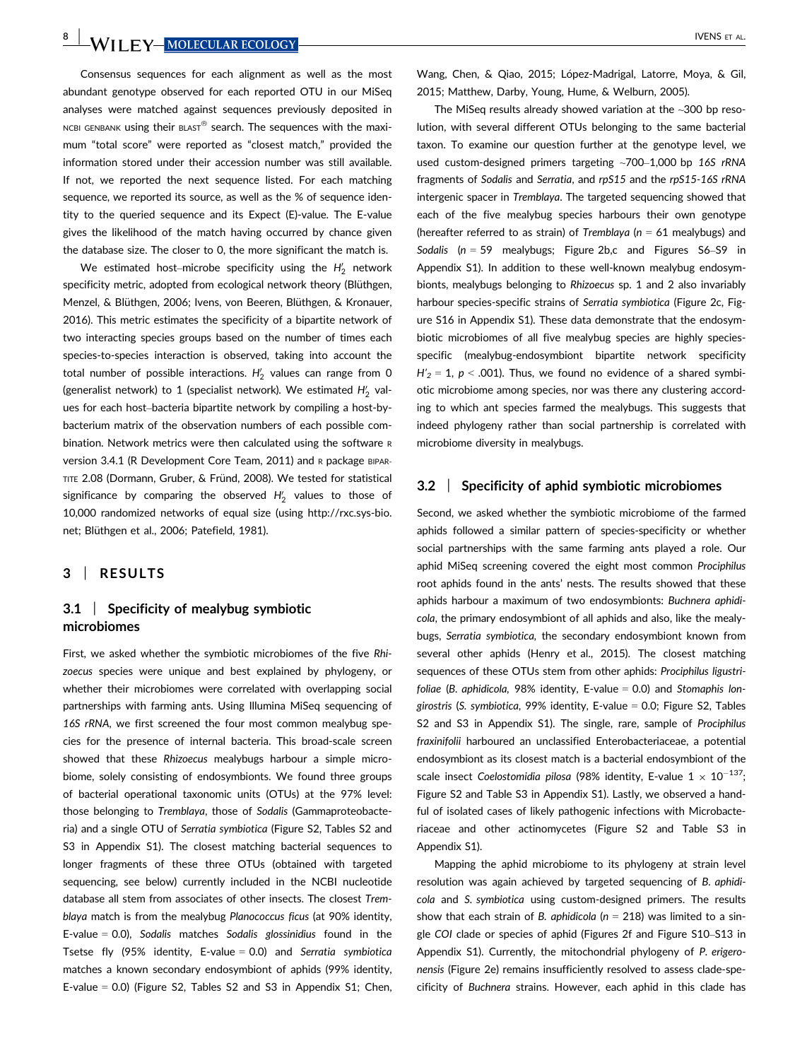Consensus sequences for each alignment as well as the most abundant genotype observed for each reported OTU in our MiSeq analyses were matched against sequences previously deposited in NCBI GENBANK using their BLAST<sup>®</sup> search. The sequences with the maximum "total score" were reported as "closest match," provided the information stored under their accession number was still available. If not, we reported the next sequence listed. For each matching sequence, we reported its source, as well as the % of sequence identity to the queried sequence and its Expect (E)-value. The E-value gives the likelihood of the match having occurred by chance given the database size. The closer to 0, the more significant the match is.

We estimated host–microbe specificity using the  $H_2^{\prime}$  network specificity metric, adopted from ecological network theory (Blüthgen, Menzel, & Blüthgen, 2006; Ivens, von Beeren, Blüthgen, & Kronauer, 2016). This metric estimates the specificity of a bipartite network of two interacting species groups based on the number of times each species-to-species interaction is observed, taking into account the total number of possible interactions.  $H_2'$  values can range from 0 (generalist network) to 1 (specialist network). We estimated  $H_2^\prime$  values for each host–bacteria bipartite network by compiling a host-bybacterium matrix of the observation numbers of each possible combination. Network metrics were then calculated using the software <sup>R</sup> version 3.4.1 (R Development Core Team, 2011) and R package BIPAR-TITE 2.08 (Dormann, Gruber, & Fründ, 2008). We tested for statistical significance by comparing the observed  $H_2'$  values to those of 10,000 randomized networks of equal size (using [http://rxc.sys-bio.](http://rxc.sys-bio.net) [net;](http://rxc.sys-bio.net) Blüthgen et al., 2006; Patefield, 1981).

## 3 | RESULTS

# 3.1 | Specificity of mealybug symbiotic microbiomes

First, we asked whether the symbiotic microbiomes of the five Rhizoecus species were unique and best explained by phylogeny, or whether their microbiomes were correlated with overlapping social partnerships with farming ants. Using Illumina MiSeq sequencing of 16S rRNA, we first screened the four most common mealybug species for the presence of internal bacteria. This broad-scale screen showed that these Rhizoecus mealybugs harbour a simple microbiome, solely consisting of endosymbionts. We found three groups of bacterial operational taxonomic units (OTUs) at the 97% level: those belonging to Tremblaya, those of Sodalis (Gammaproteobacteria) and a single OTU of Serratia symbiotica (Figure S2, Tables S2 and S3 in Appendix S1). The closest matching bacterial sequences to longer fragments of these three OTUs (obtained with targeted sequencing, see below) currently included in the NCBI nucleotide database all stem from associates of other insects. The closest Tremblaya match is from the mealybug Planococcus ficus (at 90% identity, E-value  $= 0.0$ ), Sodalis matches Sodalis glossinidius found in the Tsetse fly (95% identity, E-value  $= 0.0$ ) and Serratia symbiotica matches a known secondary endosymbiont of aphids (99% identity, E-value  $= 0.0$ ) (Figure S2, Tables S2 and S3 in Appendix S1; Chen, Wang, Chen, & Qiao, 2015; López-Madrigal, Latorre, Moya, & Gil, 2015; Matthew, Darby, Young, Hume, & Welburn, 2005).

The MiSeq results already showed variation at the ~300 bp resolution, with several different OTUs belonging to the same bacterial taxon. To examine our question further at the genotype level, we used custom-designed primers targeting ~700–1,000 bp 16S rRNA fragments of Sodalis and Serratia, and rpS15 and the rpS15-16S rRNA intergenic spacer in Tremblaya. The targeted sequencing showed that each of the five mealybug species harbours their own genotype (hereafter referred to as strain) of Tremblaya ( $n = 61$  mealybugs) and Sodalis ( $n = 59$  mealybugs; Figure 2b,c and Figures S6–S9 in Appendix S1). In addition to these well-known mealybug endosymbionts, mealybugs belonging to Rhizoecus sp. 1 and 2 also invariably harbour species-specific strains of Serratia symbiotica (Figure 2c, Figure S16 in Appendix S1). These data demonstrate that the endosymbiotic microbiomes of all five mealybug species are highly speciesspecific (mealybug-endosymbiont bipartite network specificity  $H'_2 = 1$ ,  $p < .001$ ). Thus, we found no evidence of a shared symbiotic microbiome among species, nor was there any clustering according to which ant species farmed the mealybugs. This suggests that indeed phylogeny rather than social partnership is correlated with microbiome diversity in mealybugs.

#### 3.2 | Specificity of aphid symbiotic microbiomes

Second, we asked whether the symbiotic microbiome of the farmed aphids followed a similar pattern of species-specificity or whether social partnerships with the same farming ants played a role. Our aphid MiSeq screening covered the eight most common Prociphilus root aphids found in the ants' nests. The results showed that these aphids harbour a maximum of two endosymbionts: Buchnera aphidicola, the primary endosymbiont of all aphids and also, like the mealybugs, Serratia symbiotica, the secondary endosymbiont known from several other aphids (Henry et al., 2015). The closest matching sequences of these OTUs stem from other aphids: Prociphilus ligustrifoliae (B. aphidicola, 98% identity, E-value  $=$  0.0) and Stomaphis longirostris (S. symbiotica, 99% identity, E-value = 0.0; Figure S2, Tables S2 and S3 in Appendix S1). The single, rare, sample of Prociphilus fraxinifolii harboured an unclassified Enterobacteriaceae, a potential endosymbiont as its closest match is a bacterial endosymbiont of the scale insect Coelostomidia pilosa (98% identity, E-value  $1 \times 10^{-137}$ ; Figure S2 and Table S3 in Appendix S1). Lastly, we observed a handful of isolated cases of likely pathogenic infections with Microbacteriaceae and other actinomycetes (Figure S2 and Table S3 in Appendix S1).

Mapping the aphid microbiome to its phylogeny at strain level resolution was again achieved by targeted sequencing of B. aphidicola and S. symbiotica using custom-designed primers. The results show that each strain of B. aphidicola ( $n = 218$ ) was limited to a single COI clade or species of aphid (Figures 2f and Figure S10–S13 in Appendix S1). Currently, the mitochondrial phylogeny of P. erigeronensis (Figure 2e) remains insufficiently resolved to assess clade-specificity of Buchnera strains. However, each aphid in this clade has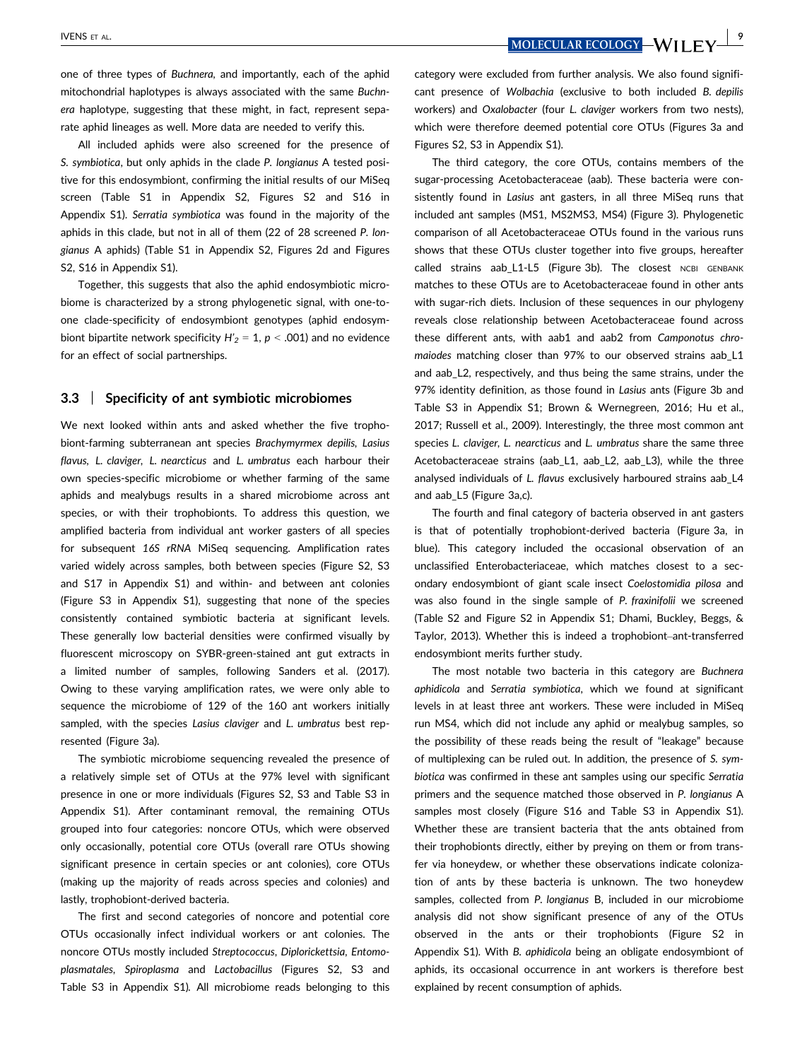$\frac{NENS}{NOLECULAR ECOLOGY}$   $\frac{9}{NILEVI}$ 

one of three types of Buchnera, and importantly, each of the aphid mitochondrial haplotypes is always associated with the same Buchnera haplotype, suggesting that these might, in fact, represent separate aphid lineages as well. More data are needed to verify this.

All included aphids were also screened for the presence of S. symbiotica, but only aphids in the clade P. longianus A tested positive for this endosymbiont, confirming the initial results of our MiSeq screen (Table S1 in Appendix S2, Figures S2 and S16 in Appendix S1). Serratia symbiotica was found in the majority of the aphids in this clade, but not in all of them (22 of 28 screened P. longianus A aphids) (Table S1 in Appendix S2, Figures 2d and Figures S2, S16 in Appendix S1).

Together, this suggests that also the aphid endosymbiotic microbiome is characterized by a strong phylogenetic signal, with one-toone clade-specificity of endosymbiont genotypes (aphid endosymbiont bipartite network specificity  $H'_2 = 1$ ,  $p < .001$ ) and no evidence for an effect of social partnerships.

#### 3.3 | Specificity of ant symbiotic microbiomes

We next looked within ants and asked whether the five trophobiont-farming subterranean ant species Brachymyrmex depilis, Lasius flavus, L. claviger, L. nearcticus and L. umbratus each harbour their own species-specific microbiome or whether farming of the same aphids and mealybugs results in a shared microbiome across ant species, or with their trophobionts. To address this question, we amplified bacteria from individual ant worker gasters of all species for subsequent 16S rRNA MiSeq sequencing. Amplification rates varied widely across samples, both between species (Figure S2, S3 and S17 in Appendix S1) and within- and between ant colonies (Figure S3 in Appendix S1), suggesting that none of the species consistently contained symbiotic bacteria at significant levels. These generally low bacterial densities were confirmed visually by fluorescent microscopy on SYBR-green-stained ant gut extracts in a limited number of samples, following Sanders et al. (2017). Owing to these varying amplification rates, we were only able to sequence the microbiome of 129 of the 160 ant workers initially sampled, with the species Lasius claviger and L. umbratus best represented (Figure 3a).

The symbiotic microbiome sequencing revealed the presence of a relatively simple set of OTUs at the 97% level with significant presence in one or more individuals (Figures S2, S3 and Table S3 in Appendix S1). After contaminant removal, the remaining OTUs grouped into four categories: noncore OTUs, which were observed only occasionally, potential core OTUs (overall rare OTUs showing significant presence in certain species or ant colonies), core OTUs (making up the majority of reads across species and colonies) and lastly, trophobiont-derived bacteria.

The first and second categories of noncore and potential core OTUs occasionally infect individual workers or ant colonies. The noncore OTUs mostly included Streptococcus, Diplorickettsia, Entomoplasmatales, Spiroplasma and Lactobacillus (Figures S2, S3 and Table S3 in Appendix S1). All microbiome reads belonging to this category were excluded from further analysis. We also found significant presence of Wolbachia (exclusive to both included B. depilis workers) and Oxalobacter (four L. claviger workers from two nests), which were therefore deemed potential core OTUs (Figures 3a and Figures S2, S3 in Appendix S1).

The third category, the core OTUs, contains members of the sugar-processing Acetobacteraceae (aab). These bacteria were consistently found in Lasius ant gasters, in all three MiSeq runs that included ant samples (MS1, MS2MS3, MS4) (Figure 3). Phylogenetic comparison of all Acetobacteraceae OTUs found in the various runs shows that these OTUs cluster together into five groups, hereafter called strains aab L1-L5 (Figure 3b). The closest NCBI GENBANK matches to these OTUs are to Acetobacteraceae found in other ants with sugar-rich diets. Inclusion of these sequences in our phylogeny reveals close relationship between Acetobacteraceae found across these different ants, with aab1 and aab2 from Camponotus chromaiodes matching closer than 97% to our observed strains aab\_L1 and aab\_L2, respectively, and thus being the same strains, under the 97% identity definition, as those found in Lasius ants (Figure 3b and Table S3 in Appendix S1; Brown & Wernegreen, 2016; Hu et al., 2017; Russell et al., 2009). Interestingly, the three most common ant species L. claviger, L. nearcticus and L. umbratus share the same three Acetobacteraceae strains (aab\_L1, aab\_L2, aab\_L3), while the three analysed individuals of L. flavus exclusively harboured strains aab\_L4 and aab\_L5 (Figure 3a,c).

The fourth and final category of bacteria observed in ant gasters is that of potentially trophobiont-derived bacteria (Figure 3a, in blue). This category included the occasional observation of an unclassified Enterobacteriaceae, which matches closest to a secondary endosymbiont of giant scale insect Coelostomidia pilosa and was also found in the single sample of P. fraxinifolii we screened (Table S2 and Figure S2 in Appendix S1; Dhami, Buckley, Beggs, & Taylor, 2013). Whether this is indeed a trophobiont–ant-transferred endosymbiont merits further study.

The most notable two bacteria in this category are Buchnera aphidicola and Serratia symbiotica, which we found at significant levels in at least three ant workers. These were included in MiSeq run MS4, which did not include any aphid or mealybug samples, so the possibility of these reads being the result of "leakage" because of multiplexing can be ruled out. In addition, the presence of S. symbiotica was confirmed in these ant samples using our specific Serratia primers and the sequence matched those observed in P. longianus A samples most closely (Figure S16 and Table S3 in Appendix S1). Whether these are transient bacteria that the ants obtained from their trophobionts directly, either by preying on them or from transfer via honeydew, or whether these observations indicate colonization of ants by these bacteria is unknown. The two honeydew samples, collected from P. longianus B, included in our microbiome analysis did not show significant presence of any of the OTUs observed in the ants or their trophobionts (Figure S2 in Appendix S1). With B. aphidicola being an obligate endosymbiont of aphids, its occasional occurrence in ant workers is therefore best explained by recent consumption of aphids.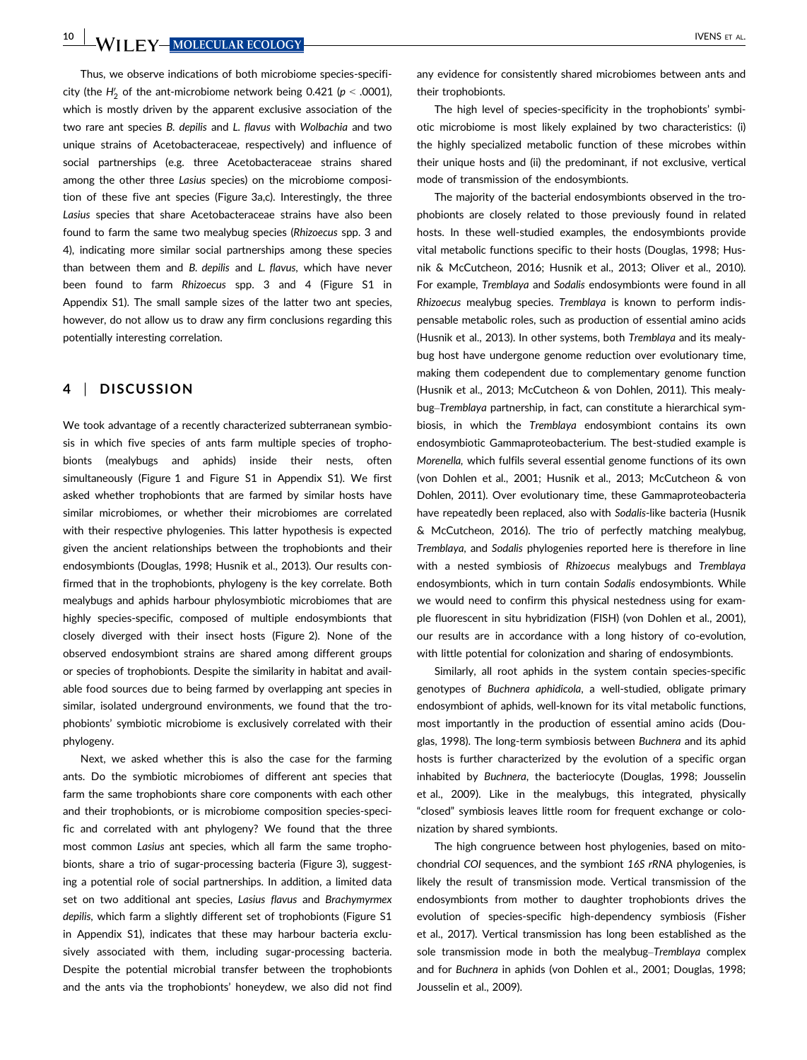10 WII FY-MOLECULAR ECOLOGY-<br>
WII FY-MOLECULAR ECOLOGY-

Thus, we observe indications of both microbiome species-specificity (the  $H_2'$  of the ant-microbiome network being 0.421 ( $p < .0001$ ), which is mostly driven by the apparent exclusive association of the two rare ant species B. depilis and L. flavus with Wolbachia and two unique strains of Acetobacteraceae, respectively) and influence of social partnerships (e.g. three Acetobacteraceae strains shared among the other three Lasius species) on the microbiome composition of these five ant species (Figure 3a,c). Interestingly, the three Lasius species that share Acetobacteraceae strains have also been found to farm the same two mealybug species (Rhizoecus spp. 3 and 4), indicating more similar social partnerships among these species than between them and B. depilis and L. flavus, which have never been found to farm Rhizoecus spp. 3 and 4 (Figure S1 in Appendix S1). The small sample sizes of the latter two ant species, however, do not allow us to draw any firm conclusions regarding this potentially interesting correlation.

## 4 | DISCUSSION

We took advantage of a recently characterized subterranean symbiosis in which five species of ants farm multiple species of trophobionts (mealybugs and aphids) inside their nests, often simultaneously (Figure 1 and Figure S1 in Appendix S1). We first asked whether trophobionts that are farmed by similar hosts have similar microbiomes, or whether their microbiomes are correlated with their respective phylogenies. This latter hypothesis is expected given the ancient relationships between the trophobionts and their endosymbionts (Douglas, 1998; Husnik et al., 2013). Our results confirmed that in the trophobionts, phylogeny is the key correlate. Both mealybugs and aphids harbour phylosymbiotic microbiomes that are highly species-specific, composed of multiple endosymbionts that closely diverged with their insect hosts (Figure 2). None of the observed endosymbiont strains are shared among different groups or species of trophobionts. Despite the similarity in habitat and available food sources due to being farmed by overlapping ant species in similar, isolated underground environments, we found that the trophobionts' symbiotic microbiome is exclusively correlated with their phylogeny.

Next, we asked whether this is also the case for the farming ants. Do the symbiotic microbiomes of different ant species that farm the same trophobionts share core components with each other and their trophobionts, or is microbiome composition species-specific and correlated with ant phylogeny? We found that the three most common Lasius ant species, which all farm the same trophobionts, share a trio of sugar-processing bacteria (Figure 3), suggesting a potential role of social partnerships. In addition, a limited data set on two additional ant species, Lasius flavus and Brachymyrmex depilis, which farm a slightly different set of trophobionts (Figure S1 in Appendix S1), indicates that these may harbour bacteria exclusively associated with them, including sugar-processing bacteria. Despite the potential microbial transfer between the trophobionts and the ants via the trophobionts' honeydew, we also did not find

any evidence for consistently shared microbiomes between ants and their trophobionts.

The high level of species-specificity in the trophobionts' symbiotic microbiome is most likely explained by two characteristics: (i) the highly specialized metabolic function of these microbes within their unique hosts and (ii) the predominant, if not exclusive, vertical mode of transmission of the endosymbionts.

The majority of the bacterial endosymbionts observed in the trophobionts are closely related to those previously found in related hosts. In these well-studied examples, the endosymbionts provide vital metabolic functions specific to their hosts (Douglas, 1998; Husnik & McCutcheon, 2016; Husnik et al., 2013; Oliver et al., 2010). For example, Tremblaya and Sodalis endosymbionts were found in all Rhizoecus mealybug species. Tremblaya is known to perform indispensable metabolic roles, such as production of essential amino acids (Husnik et al., 2013). In other systems, both Tremblaya and its mealybug host have undergone genome reduction over evolutionary time, making them codependent due to complementary genome function (Husnik et al., 2013; McCutcheon & von Dohlen, 2011). This mealybug–Tremblaya partnership, in fact, can constitute a hierarchical symbiosis, in which the Tremblaya endosymbiont contains its own endosymbiotic Gammaproteobacterium. The best-studied example is Morenella, which fulfils several essential genome functions of its own (von Dohlen et al., 2001; Husnik et al., 2013; McCutcheon & von Dohlen, 2011). Over evolutionary time, these Gammaproteobacteria have repeatedly been replaced, also with Sodalis-like bacteria (Husnik & McCutcheon, 2016). The trio of perfectly matching mealybug, Tremblaya, and Sodalis phylogenies reported here is therefore in line with a nested symbiosis of Rhizoecus mealybugs and Tremblaya endosymbionts, which in turn contain Sodalis endosymbionts. While we would need to confirm this physical nestedness using for example fluorescent in situ hybridization (FISH) (von Dohlen et al., 2001), our results are in accordance with a long history of co-evolution, with little potential for colonization and sharing of endosymbionts.

Similarly, all root aphids in the system contain species-specific genotypes of Buchnera aphidicola, a well-studied, obligate primary endosymbiont of aphids, well-known for its vital metabolic functions, most importantly in the production of essential amino acids (Douglas, 1998). The long-term symbiosis between Buchnera and its aphid hosts is further characterized by the evolution of a specific organ inhabited by Buchnera, the bacteriocyte (Douglas, 1998; Jousselin et al., 2009). Like in the mealybugs, this integrated, physically "closed" symbiosis leaves little room for frequent exchange or colonization by shared symbionts.

The high congruence between host phylogenies, based on mitochondrial COI sequences, and the symbiont 16S rRNA phylogenies, is likely the result of transmission mode. Vertical transmission of the endosymbionts from mother to daughter trophobionts drives the evolution of species-specific high-dependency symbiosis (Fisher et al., 2017). Vertical transmission has long been established as the sole transmission mode in both the mealybug–Tremblaya complex and for Buchnera in aphids (von Dohlen et al., 2001; Douglas, 1998; Jousselin et al., 2009).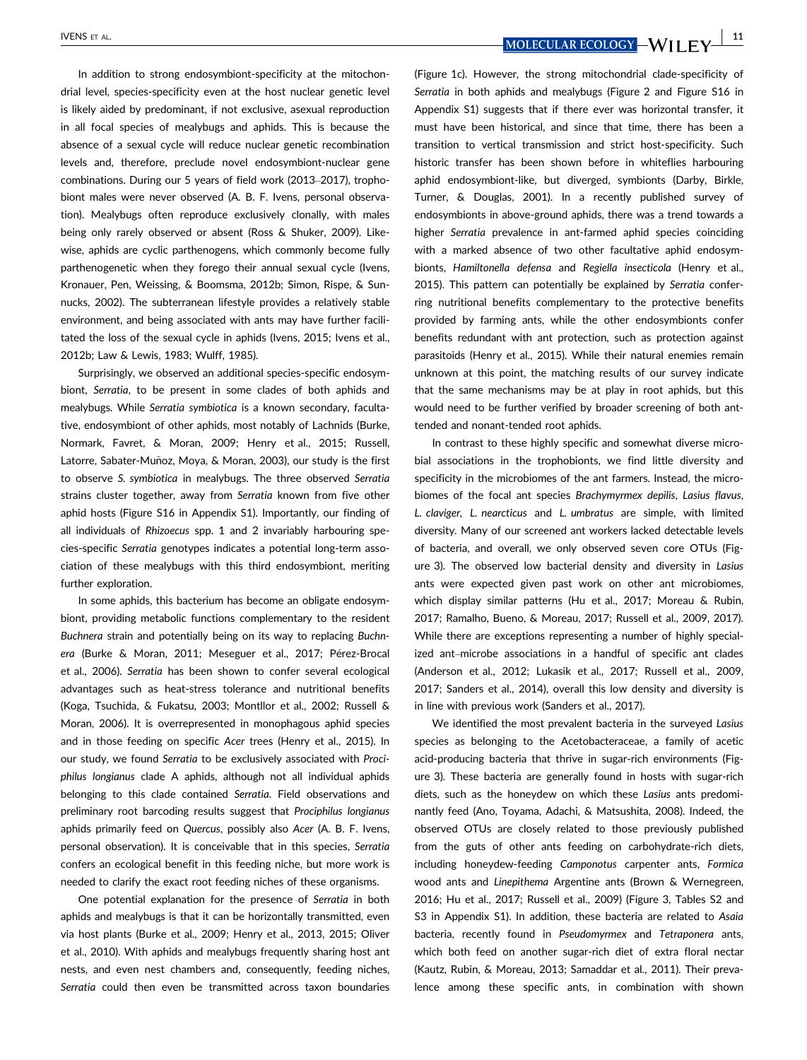In addition to strong endosymbiont-specificity at the mitochondrial level, species-specificity even at the host nuclear genetic level is likely aided by predominant, if not exclusive, asexual reproduction in all focal species of mealybugs and aphids. This is because the absence of a sexual cycle will reduce nuclear genetic recombination levels and, therefore, preclude novel endosymbiont-nuclear gene combinations. During our 5 years of field work (2013–2017), trophobiont males were never observed (A. B. F. Ivens, personal observation). Mealybugs often reproduce exclusively clonally, with males being only rarely observed or absent (Ross & Shuker, 2009). Likewise, aphids are cyclic parthenogens, which commonly become fully parthenogenetic when they forego their annual sexual cycle (Ivens, Kronauer, Pen, Weissing, & Boomsma, 2012b; Simon, Rispe, & Sunnucks, 2002). The subterranean lifestyle provides a relatively stable environment, and being associated with ants may have further facilitated the loss of the sexual cycle in aphids (Ivens, 2015; Ivens et al., 2012b; Law & Lewis, 1983; Wulff, 1985).

Surprisingly, we observed an additional species-specific endosymbiont, Serratia, to be present in some clades of both aphids and mealybugs. While Serratia symbiotica is a known secondary, facultative, endosymbiont of other aphids, most notably of Lachnids (Burke, Normark, Favret, & Moran, 2009; Henry et al., 2015; Russell, Latorre, Sabater-Muñoz, Moya, & Moran, 2003), our study is the first to observe S. symbiotica in mealybugs. The three observed Serratia strains cluster together, away from Serratia known from five other aphid hosts (Figure S16 in Appendix S1). Importantly, our finding of all individuals of Rhizoecus spp. 1 and 2 invariably harbouring species-specific Serratia genotypes indicates a potential long-term association of these mealybugs with this third endosymbiont, meriting further exploration.

In some aphids, this bacterium has become an obligate endosymbiont, providing metabolic functions complementary to the resident Buchnera strain and potentially being on its way to replacing Buchnera (Burke & Moran, 2011; Meseguer et al., 2017; Pérez-Brocal et al., 2006). Serratia has been shown to confer several ecological advantages such as heat-stress tolerance and nutritional benefits (Koga, Tsuchida, & Fukatsu, 2003; Montllor et al., 2002; Russell & Moran, 2006). It is overrepresented in monophagous aphid species and in those feeding on specific Acer trees (Henry et al., 2015). In our study, we found Serratia to be exclusively associated with Prociphilus longianus clade A aphids, although not all individual aphids belonging to this clade contained Serratia. Field observations and preliminary root barcoding results suggest that Prociphilus longianus aphids primarily feed on Quercus, possibly also Acer (A. B. F. Ivens, personal observation). It is conceivable that in this species, Serratia confers an ecological benefit in this feeding niche, but more work is needed to clarify the exact root feeding niches of these organisms.

One potential explanation for the presence of Serratia in both aphids and mealybugs is that it can be horizontally transmitted, even via host plants (Burke et al., 2009; Henry et al., 2013, 2015; Oliver et al., 2010). With aphids and mealybugs frequently sharing host ant nests, and even nest chambers and, consequently, feeding niches, Serratia could then even be transmitted across taxon boundaries

IVENS ET AL. **NOLECULAR ECOLOGY — WILL EV** 

(Figure 1c). However, the strong mitochondrial clade-specificity of Serratia in both aphids and mealybugs (Figure 2 and Figure S16 in Appendix S1) suggests that if there ever was horizontal transfer, it must have been historical, and since that time, there has been a transition to vertical transmission and strict host-specificity. Such historic transfer has been shown before in whiteflies harbouring aphid endosymbiont-like, but diverged, symbionts (Darby, Birkle, Turner, & Douglas, 2001). In a recently published survey of endosymbionts in above-ground aphids, there was a trend towards a higher Serratia prevalence in ant-farmed aphid species coinciding with a marked absence of two other facultative aphid endosymbionts, Hamiltonella defensa and Regiella insecticola (Henry et al., 2015). This pattern can potentially be explained by Serratia conferring nutritional benefits complementary to the protective benefits provided by farming ants, while the other endosymbionts confer benefits redundant with ant protection, such as protection against parasitoids (Henry et al., 2015). While their natural enemies remain unknown at this point, the matching results of our survey indicate that the same mechanisms may be at play in root aphids, but this would need to be further verified by broader screening of both ant-

In contrast to these highly specific and somewhat diverse microbial associations in the trophobionts, we find little diversity and specificity in the microbiomes of the ant farmers. Instead, the microbiomes of the focal ant species Brachymyrmex depilis, Lasius flavus, L. claviger, L. nearcticus and L. umbratus are simple, with limited diversity. Many of our screened ant workers lacked detectable levels of bacteria, and overall, we only observed seven core OTUs (Figure 3). The observed low bacterial density and diversity in Lasius ants were expected given past work on other ant microbiomes, which display similar patterns (Hu et al., 2017; Moreau & Rubin, 2017; Ramalho, Bueno, & Moreau, 2017; Russell et al., 2009, 2017). While there are exceptions representing a number of highly specialized ant–microbe associations in a handful of specific ant clades (Anderson et al., 2012; Lukasik et al., 2017; Russell et al., 2009, 2017; Sanders et al., 2014), overall this low density and diversity is in line with previous work (Sanders et al., 2017).

tended and nonant-tended root aphids.

We identified the most prevalent bacteria in the surveyed Lasius species as belonging to the Acetobacteraceae, a family of acetic acid-producing bacteria that thrive in sugar-rich environments (Figure 3). These bacteria are generally found in hosts with sugar-rich diets, such as the honeydew on which these Lasius ants predominantly feed (Ano, Toyama, Adachi, & Matsushita, 2008). Indeed, the observed OTUs are closely related to those previously published from the guts of other ants feeding on carbohydrate-rich diets, including honeydew-feeding Camponotus carpenter ants, Formica wood ants and Linepithema Argentine ants (Brown & Wernegreen, 2016; Hu et al., 2017; Russell et al., 2009) (Figure 3, Tables S2 and S3 in Appendix S1). In addition, these bacteria are related to Asaia bacteria, recently found in Pseudomyrmex and Tetraponera ants, which both feed on another sugar-rich diet of extra floral nectar (Kautz, Rubin, & Moreau, 2013; Samaddar et al., 2011). Their prevalence among these specific ants, in combination with shown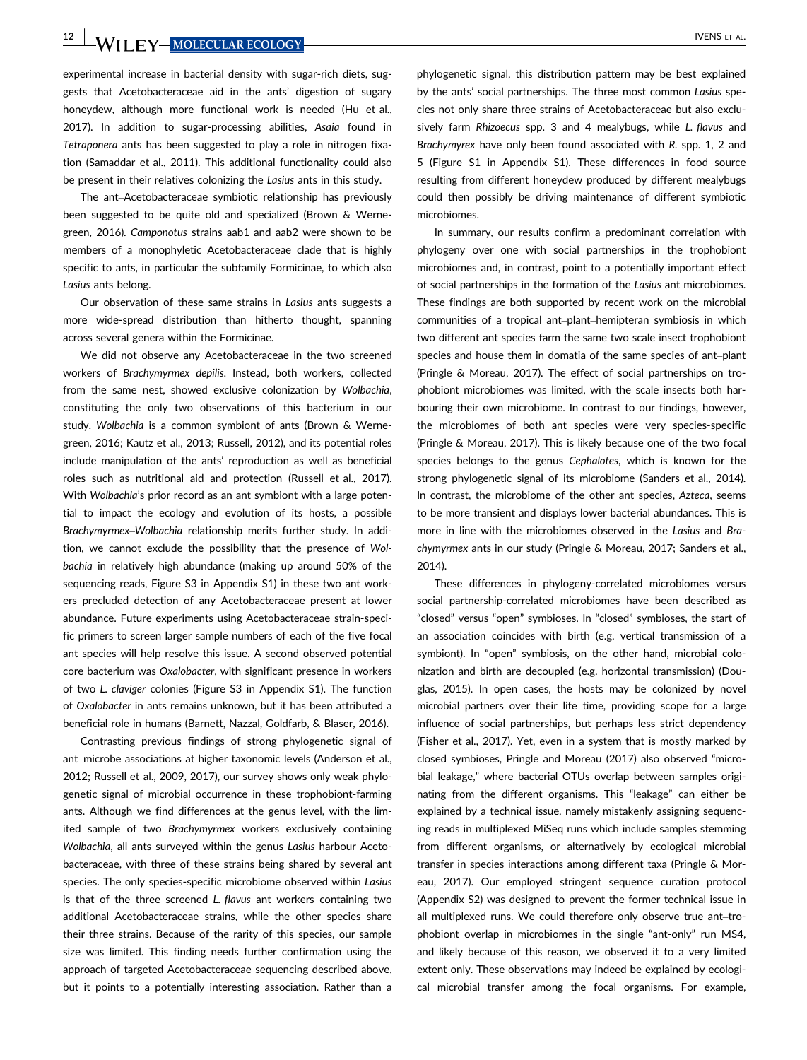experimental increase in bacterial density with sugar-rich diets, suggests that Acetobacteraceae aid in the ants' digestion of sugary honeydew, although more functional work is needed (Hu et al., 2017). In addition to sugar-processing abilities, Asaia found in Tetraponera ants has been suggested to play a role in nitrogen fixation (Samaddar et al., 2011). This additional functionality could also be present in their relatives colonizing the Lasius ants in this study.

The ant–Acetobacteraceae symbiotic relationship has previously been suggested to be quite old and specialized (Brown & Wernegreen, 2016). Camponotus strains aab1 and aab2 were shown to be members of a monophyletic Acetobacteraceae clade that is highly specific to ants, in particular the subfamily Formicinae, to which also Lasius ants belong.

Our observation of these same strains in Lasius ants suggests a more wide-spread distribution than hitherto thought, spanning across several genera within the Formicinae.

We did not observe any Acetobacteraceae in the two screened workers of Brachymyrmex depilis. Instead, both workers, collected from the same nest, showed exclusive colonization by Wolbachia, constituting the only two observations of this bacterium in our study. Wolbachia is a common symbiont of ants (Brown & Wernegreen, 2016; Kautz et al., 2013; Russell, 2012), and its potential roles include manipulation of the ants' reproduction as well as beneficial roles such as nutritional aid and protection (Russell et al., 2017). With Wolbachia's prior record as an ant symbiont with a large potential to impact the ecology and evolution of its hosts, a possible Brachymyrmex–Wolbachia relationship merits further study. In addition, we cannot exclude the possibility that the presence of Wolbachia in relatively high abundance (making up around 50% of the sequencing reads, Figure S3 in Appendix S1) in these two ant workers precluded detection of any Acetobacteraceae present at lower abundance. Future experiments using Acetobacteraceae strain-specific primers to screen larger sample numbers of each of the five focal ant species will help resolve this issue. A second observed potential core bacterium was Oxalobacter, with significant presence in workers of two L. claviger colonies (Figure S3 in Appendix S1). The function of Oxalobacter in ants remains unknown, but it has been attributed a beneficial role in humans (Barnett, Nazzal, Goldfarb, & Blaser, 2016).

Contrasting previous findings of strong phylogenetic signal of ant–microbe associations at higher taxonomic levels (Anderson et al., 2012; Russell et al., 2009, 2017), our survey shows only weak phylogenetic signal of microbial occurrence in these trophobiont-farming ants. Although we find differences at the genus level, with the limited sample of two Brachymyrmex workers exclusively containing Wolbachia, all ants surveyed within the genus Lasius harbour Acetobacteraceae, with three of these strains being shared by several ant species. The only species-specific microbiome observed within Lasius is that of the three screened L. flavus ant workers containing two additional Acetobacteraceae strains, while the other species share their three strains. Because of the rarity of this species, our sample size was limited. This finding needs further confirmation using the approach of targeted Acetobacteraceae sequencing described above, but it points to a potentially interesting association. Rather than a

phylogenetic signal, this distribution pattern may be best explained by the ants' social partnerships. The three most common Lasius species not only share three strains of Acetobacteraceae but also exclusively farm Rhizoecus spp. 3 and 4 mealybugs, while L. flavus and Brachymyrex have only been found associated with R. spp. 1, 2 and 5 (Figure S1 in Appendix S1). These differences in food source resulting from different honeydew produced by different mealybugs could then possibly be driving maintenance of different symbiotic microbiomes.

In summary, our results confirm a predominant correlation with phylogeny over one with social partnerships in the trophobiont microbiomes and, in contrast, point to a potentially important effect of social partnerships in the formation of the Lasius ant microbiomes. These findings are both supported by recent work on the microbial communities of a tropical ant–plant–hemipteran symbiosis in which two different ant species farm the same two scale insect trophobiont species and house them in domatia of the same species of ant–plant (Pringle & Moreau, 2017). The effect of social partnerships on trophobiont microbiomes was limited, with the scale insects both harbouring their own microbiome. In contrast to our findings, however, the microbiomes of both ant species were very species-specific (Pringle & Moreau, 2017). This is likely because one of the two focal species belongs to the genus Cephalotes, which is known for the strong phylogenetic signal of its microbiome (Sanders et al., 2014). In contrast, the microbiome of the other ant species, Azteca, seems to be more transient and displays lower bacterial abundances. This is more in line with the microbiomes observed in the Lasius and Brachymyrmex ants in our study (Pringle & Moreau, 2017; Sanders et al., 2014).

These differences in phylogeny-correlated microbiomes versus social partnership-correlated microbiomes have been described as "closed" versus "open" symbioses. In "closed" symbioses, the start of an association coincides with birth (e.g. vertical transmission of a symbiont). In "open" symbiosis, on the other hand, microbial colonization and birth are decoupled (e.g. horizontal transmission) (Douglas, 2015). In open cases, the hosts may be colonized by novel microbial partners over their life time, providing scope for a large influence of social partnerships, but perhaps less strict dependency (Fisher et al., 2017). Yet, even in a system that is mostly marked by closed symbioses, Pringle and Moreau (2017) also observed "microbial leakage," where bacterial OTUs overlap between samples originating from the different organisms. This "leakage" can either be explained by a technical issue, namely mistakenly assigning sequencing reads in multiplexed MiSeq runs which include samples stemming from different organisms, or alternatively by ecological microbial transfer in species interactions among different taxa (Pringle & Moreau, 2017). Our employed stringent sequence curation protocol (Appendix S2) was designed to prevent the former technical issue in all multiplexed runs. We could therefore only observe true ant–trophobiont overlap in microbiomes in the single "ant-only" run MS4, and likely because of this reason, we observed it to a very limited extent only. These observations may indeed be explained by ecological microbial transfer among the focal organisms. For example,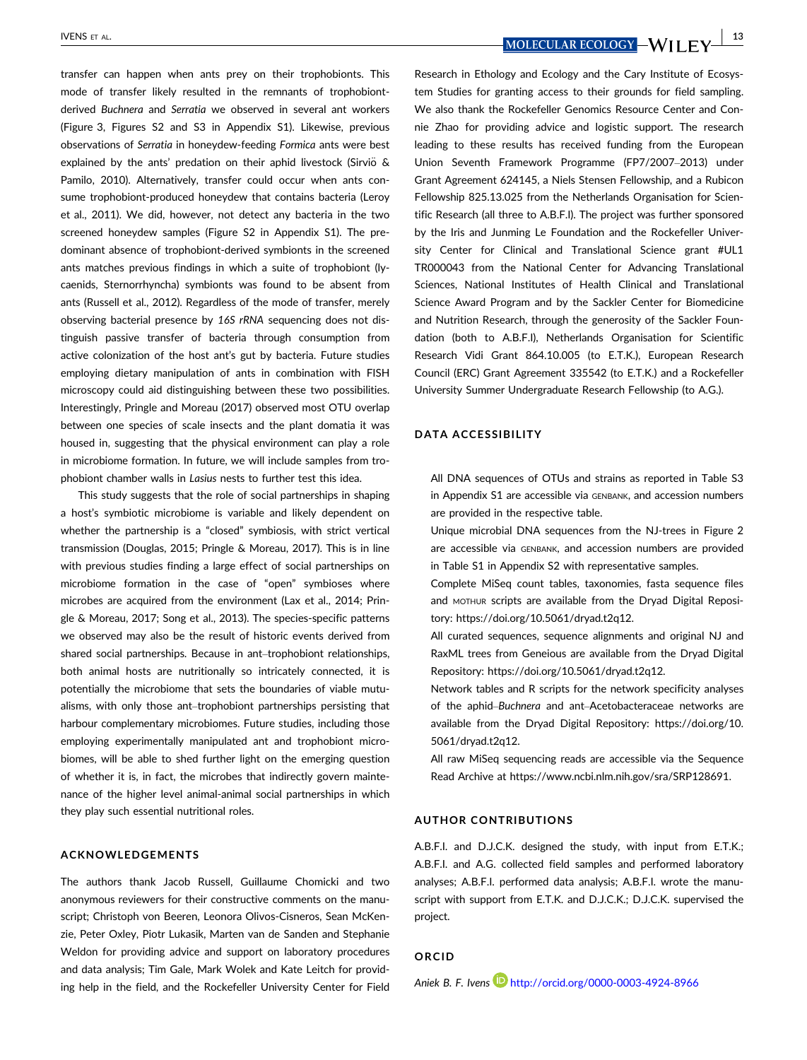transfer can happen when ants prey on their trophobionts. This mode of transfer likely resulted in the remnants of trophobiontderived Buchnera and Serratia we observed in several ant workers (Figure 3, Figures S2 and S3 in Appendix S1). Likewise, previous observations of Serratia in honeydew-feeding Formica ants were best explained by the ants' predation on their aphid livestock (Sirviö & Pamilo, 2010). Alternatively, transfer could occur when ants consume trophobiont-produced honeydew that contains bacteria (Leroy et al., 2011). We did, however, not detect any bacteria in the two screened honeydew samples (Figure S2 in Appendix S1). The predominant absence of trophobiont-derived symbionts in the screened ants matches previous findings in which a suite of trophobiont (lycaenids, Sternorrhyncha) symbionts was found to be absent from ants (Russell et al., 2012). Regardless of the mode of transfer, merely observing bacterial presence by 16S rRNA sequencing does not distinguish passive transfer of bacteria through consumption from active colonization of the host ant's gut by bacteria. Future studies employing dietary manipulation of ants in combination with FISH microscopy could aid distinguishing between these two possibilities. Interestingly, Pringle and Moreau (2017) observed most OTU overlap between one species of scale insects and the plant domatia it was housed in, suggesting that the physical environment can play a role in microbiome formation. In future, we will include samples from trophobiont chamber walls in Lasius nests to further test this idea.

This study suggests that the role of social partnerships in shaping a host's symbiotic microbiome is variable and likely dependent on whether the partnership is a "closed" symbiosis, with strict vertical transmission (Douglas, 2015; Pringle & Moreau, 2017). This is in line with previous studies finding a large effect of social partnerships on microbiome formation in the case of "open" symbioses where microbes are acquired from the environment (Lax et al., 2014; Pringle & Moreau, 2017; Song et al., 2013). The species-specific patterns we observed may also be the result of historic events derived from shared social partnerships. Because in ant–trophobiont relationships, both animal hosts are nutritionally so intricately connected, it is potentially the microbiome that sets the boundaries of viable mutualisms, with only those ant–trophobiont partnerships persisting that harbour complementary microbiomes. Future studies, including those employing experimentally manipulated ant and trophobiont microbiomes, will be able to shed further light on the emerging question of whether it is, in fact, the microbes that indirectly govern maintenance of the higher level animal-animal social partnerships in which they play such essential nutritional roles.

#### ACKNOWLEDGEMENTS

The authors thank Jacob Russell, Guillaume Chomicki and two anonymous reviewers for their constructive comments on the manuscript; Christoph von Beeren, Leonora Olivos-Cisneros, Sean McKenzie, Peter Oxley, Piotr Lukasik, Marten van de Sanden and Stephanie Weldon for providing advice and support on laboratory procedures and data analysis; Tim Gale, Mark Wolek and Kate Leitch for providing help in the field, and the Rockefeller University Center for Field

IVENS ET AL. **NOLECULAR ECOLOGY — WILL FY** 

Research in Ethology and Ecology and the Cary Institute of Ecosystem Studies for granting access to their grounds for field sampling. We also thank the Rockefeller Genomics Resource Center and Connie Zhao for providing advice and logistic support. The research leading to these results has received funding from the European Union Seventh Framework Programme (FP7/2007–2013) under Grant Agreement 624145, a Niels Stensen Fellowship, and a Rubicon Fellowship 825.13.025 from the Netherlands Organisation for Scientific Research (all three to A.B.F.I). The project was further sponsored by the Iris and Junming Le Foundation and the Rockefeller University Center for Clinical and Translational Science grant #UL1 TR000043 from the National Center for Advancing Translational Sciences, National Institutes of Health Clinical and Translational Science Award Program and by the Sackler Center for Biomedicine and Nutrition Research, through the generosity of the Sackler Foundation (both to A.B.F.I), Netherlands Organisation for Scientific Research Vidi Grant 864.10.005 (to E.T.K.), European Research Council (ERC) Grant Agreement 335542 (to E.T.K.) and a Rockefeller University Summer Undergraduate Research Fellowship (to A.G.).

## DATA ACCESSIBILITY

All DNA sequences of OTUs and strains as reported in Table S3 in Appendix S1 are accessible via GENBANK, and accession numbers are provided in the respective table.

Unique microbial DNA sequences from the NJ-trees in Figure 2 are accessible via GENBANK, and accession numbers are provided in Table S1 in Appendix S2 with representative samples.

Complete MiSeq count tables, taxonomies, fasta sequence files and MOTHUR scripts are available from the Dryad Digital Repository:<https://doi.org/10.5061/dryad.t2q12>.

All curated sequences, sequence alignments and original NJ and RaxML trees from Geneious are available from the Dryad Digital Repository:<https://doi.org/10.5061/dryad.t2q12>.

Network tables and R scripts for the network specificity analyses of the aphid–Buchnera and ant–Acetobacteraceae networks are available from the Dryad Digital Repository: [https://doi.org/10.](https://doi.org/10.5061/dryad.t2q12) [5061/dryad.t2q12.](https://doi.org/10.5061/dryad.t2q12)

All raw MiSeq sequencing reads are accessible via the Sequence Read Archive at<https://www.ncbi.nlm.nih.gov/sra/SRP128691>.

#### AUTHOR CONTRIBUTIONS

A.B.F.I. and D.J.C.K. designed the study, with input from E.T.K.; A.B.F.I. and A.G. collected field samples and performed laboratory analyses; A.B.F.I. performed data analysis; A.B.F.I. wrote the manuscript with support from E.T.K. and D.J.C.K.; D.J.C.K. supervised the project.

#### ORCID

Aniek B. F. Ivens **D** http://orcid.org/0000-0003-4924-8966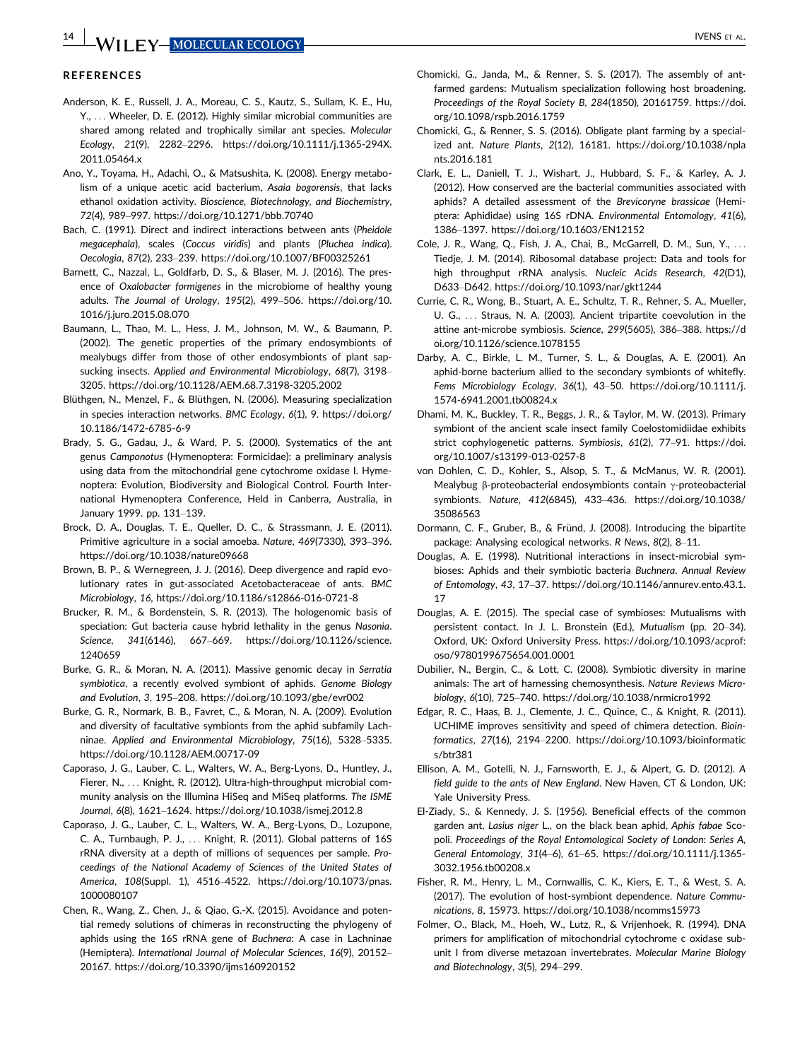### **REFERENCES**

- Anderson, K. E., Russell, J. A., Moreau, C. S., Kautz, S., Sullam, K. E., Hu, Y., ... Wheeler, D. E. (2012). Highly similar microbial communities are shared among related and trophically similar ant species. Molecular Ecology, 21(9), 2282–2296. [https://doi.org/10.1111/j.1365-294X.](https://doi.org/10.1111/j.1365-294X.2011.05464.x) [2011.05464.x](https://doi.org/10.1111/j.1365-294X.2011.05464.x)
- Ano, Y., Toyama, H., Adachi, O., & Matsushita, K. (2008). Energy metabolism of a unique acetic acid bacterium, Asaia bogorensis, that lacks ethanol oxidation activity. Bioscience, Biotechnology, and Biochemistry, 72(4), 989–997.<https://doi.org/10.1271/bbb.70740>
- Bach, C. (1991). Direct and indirect interactions between ants (Pheidole megacephala), scales (Coccus viridis) and plants (Pluchea indica). Oecologia, 87(2), 233–239.<https://doi.org/10.1007/BF00325261>
- Barnett, C., Nazzal, L., Goldfarb, D. S., & Blaser, M. J. (2016). The presence of Oxalobacter formigenes in the microbiome of healthy young adults. The Journal of Urology, 195(2), 499–506. [https://doi.org/10.](https://doi.org/10.1016/j.juro.2015.08.070) [1016/j.juro.2015.08.070](https://doi.org/10.1016/j.juro.2015.08.070)
- Baumann, L., Thao, M. L., Hess, J. M., Johnson, M. W., & Baumann, P. (2002). The genetic properties of the primary endosymbionts of mealybugs differ from those of other endosymbionts of plant sapsucking insects. Applied and Environmental Microbiology, 68(7), 3198– 3205.<https://doi.org/10.1128/AEM.68.7.3198-3205.2002>
- Blüthgen, N., Menzel, F., & Blüthgen, N. (2006). Measuring specialization in species interaction networks. BMC Ecology, 6(1), 9. [https://doi.org/](https://doi.org/10.1186/1472-6785-6-9) [10.1186/1472-6785-6-9](https://doi.org/10.1186/1472-6785-6-9)
- Brady, S. G., Gadau, J., & Ward, P. S. (2000). Systematics of the ant genus Camponotus (Hymenoptera: Formicidae): a preliminary analysis using data from the mitochondrial gene cytochrome oxidase I. Hymenoptera: Evolution, Biodiversity and Biological Control. Fourth International Hymenoptera Conference, Held in Canberra, Australia, in January 1999. pp. 131–139.
- Brock, D. A., Douglas, T. E., Queller, D. C., & Strassmann, J. E. (2011). Primitive agriculture in a social amoeba. Nature, 469(7330), 393–396. <https://doi.org/10.1038/nature09668>
- Brown, B. P., & Wernegreen, J. J. (2016). Deep divergence and rapid evolutionary rates in gut-associated Acetobacteraceae of ants. BMC Microbiology, 16,<https://doi.org/10.1186/s12866-016-0721-8>
- Brucker, R. M., & Bordenstein, S. R. (2013). The hologenomic basis of speciation: Gut bacteria cause hybrid lethality in the genus Nasonia. Science, 341(6146), 667–669. [https://doi.org/10.1126/science.](https://doi.org/10.1126/science.1240659) [1240659](https://doi.org/10.1126/science.1240659)
- Burke, G. R., & Moran, N. A. (2011). Massive genomic decay in Serratia symbiotica, a recently evolved symbiont of aphids. Genome Biology and Evolution, 3, 195–208.<https://doi.org/10.1093/gbe/evr002>
- Burke, G. R., Normark, B. B., Favret, C., & Moran, N. A. (2009). Evolution and diversity of facultative symbionts from the aphid subfamily Lachninae. Applied and Environmental Microbiology, 75(16), 5328–5335. <https://doi.org/10.1128/AEM.00717-09>
- Caporaso, J. G., Lauber, C. L., Walters, W. A., Berg-Lyons, D., Huntley, J., Fierer, N., ... Knight, R. (2012). Ultra-high-throughput microbial community analysis on the Illumina HiSeq and MiSeq platforms. The ISME Journal, 6(8), 1621–1624.<https://doi.org/10.1038/ismej.2012.8>
- Caporaso, J. G., Lauber, C. L., Walters, W. A., Berg-Lyons, D., Lozupone, C. A., Turnbaugh, P. J., ... Knight, R. (2011). Global patterns of 16S rRNA diversity at a depth of millions of sequences per sample. Proceedings of the National Academy of Sciences of the United States of America, 108(Suppl. 1), 4516–4522. [https://doi.org/10.1073/pnas.](https://doi.org/10.1073/pnas.1000080107) [1000080107](https://doi.org/10.1073/pnas.1000080107)
- Chen, R., Wang, Z., Chen, J., & Qiao, G.-X. (2015). Avoidance and potential remedy solutions of chimeras in reconstructing the phylogeny of aphids using the 16S rRNA gene of Buchnera: A case in Lachninae (Hemiptera). International Journal of Molecular Sciences, 16(9), 20152– 20167.<https://doi.org/10.3390/ijms160920152>
- Chomicki, G., Janda, M., & Renner, S. S. (2017). The assembly of antfarmed gardens: Mutualism specialization following host broadening. Proceedings of the Royal Society B, 284(1850), 20161759. [https://doi.](https://doi.org/10.1098/rspb.2016.1759) [org/10.1098/rspb.2016.1759](https://doi.org/10.1098/rspb.2016.1759)
- Chomicki, G., & Renner, S. S. (2016). Obligate plant farming by a specialized ant. Nature Plants, 2(12), 16181. [https://doi.org/10.1038/npla](https://doi.org/10.1038/nplants.2016.181) [nts.2016.181](https://doi.org/10.1038/nplants.2016.181)
- Clark, E. L., Daniell, T. J., Wishart, J., Hubbard, S. F., & Karley, A. J. (2012). How conserved are the bacterial communities associated with aphids? A detailed assessment of the Brevicoryne brassicae (Hemiptera: Aphididae) using 16S rDNA. Environmental Entomology, 41(6), 1386–1397.<https://doi.org/10.1603/EN12152>
- Cole, J. R., Wang, Q., Fish, J. A., Chai, B., McGarrell, D. M., Sun, Y., ... Tiedje, J. M. (2014). Ribosomal database project: Data and tools for high throughput rRNA analysis. Nucleic Acids Research, 42(D1), D633–D642.<https://doi.org/10.1093/nar/gkt1244>
- Currie, C. R., Wong, B., Stuart, A. E., Schultz, T. R., Rehner, S. A., Mueller, U. G., ... Straus, N. A. (2003). Ancient tripartite coevolution in the attine ant-microbe symbiosis. Science, 299(5605), 386–388. [https://d](https://doi.org/10.1126/science.1078155) [oi.org/10.1126/science.1078155](https://doi.org/10.1126/science.1078155)
- Darby, A. C., Birkle, L. M., Turner, S. L., & Douglas, A. E. (2001). An aphid-borne bacterium allied to the secondary symbionts of whitefly. Fems Microbiology Ecology, 36(1), 43–50. [https://doi.org/10.1111/j.](https://doi.org/10.1111/j.1574-6941.2001.tb00824.x) [1574-6941.2001.tb00824.x](https://doi.org/10.1111/j.1574-6941.2001.tb00824.x)
- Dhami, M. K., Buckley, T. R., Beggs, J. R., & Taylor, M. W. (2013). Primary symbiont of the ancient scale insect family Coelostomidiidae exhibits strict cophylogenetic patterns. Symbiosis, 61(2), 77–91. [https://doi.](https://doi.org/10.1007/s13199-013-0257-8) [org/10.1007/s13199-013-0257-8](https://doi.org/10.1007/s13199-013-0257-8)
- von Dohlen, C. D., Kohler, S., Alsop, S. T., & McManus, W. R. (2001). Mealybug  $\beta$ -proteobacterial endosymbionts contain  $\gamma$ -proteobacterial symbionts. Nature, 412(6845), 433–436. [https://doi.org/10.1038/](https://doi.org/10.1038/35086563) [35086563](https://doi.org/10.1038/35086563)
- Dormann, C. F., Gruber, B., & Fründ, J. (2008). Introducing the bipartite package: Analysing ecological networks. R News, 8(2), 8–11.
- Douglas, A. E. (1998). Nutritional interactions in insect-microbial symbioses: Aphids and their symbiotic bacteria Buchnera. Annual Review of Entomology, 43, 17–37. [https://doi.org/10.1146/annurev.ento.43.1.](https://doi.org/10.1146/annurev.ento.43.1.17) [17](https://doi.org/10.1146/annurev.ento.43.1.17)
- Douglas, A. E. (2015). The special case of symbioses: Mutualisms with persistent contact. In J. L. Bronstein (Ed.), Mutualism (pp. 20–34). Oxford, UK: Oxford University Press. [https://doi.org/10.1093/acprof:](https://doi.org/10.1093/acprof:oso/9780199675654.001.0001) [oso/9780199675654.001.0001](https://doi.org/10.1093/acprof:oso/9780199675654.001.0001)
- Dubilier, N., Bergin, C., & Lott, C. (2008). Symbiotic diversity in marine animals: The art of harnessing chemosynthesis. Nature Reviews Microbiology, 6(10), 725–740.<https://doi.org/10.1038/nrmicro1992>
- Edgar, R. C., Haas, B. J., Clemente, J. C., Quince, C., & Knight, R. (2011). UCHIME improves sensitivity and speed of chimera detection. Bioinformatics, 27(16), 2194–2200. [https://doi.org/10.1093/bioinformatic](https://doi.org/10.1093/bioinformatics/btr381) [s/btr381](https://doi.org/10.1093/bioinformatics/btr381)
- Ellison, A. M., Gotelli, N. J., Farnsworth, E. J., & Alpert, G. D. (2012). A field guide to the ants of New England. New Haven, CT & London, UK: Yale University Press.
- El-Ziady, S., & Kennedy, J. S. (1956). Beneficial effects of the common garden ant, Lasius niger L., on the black bean aphid, Aphis fabae Scopoli. Proceedings of the Royal Entomological Society of London: Series A, General Entomology, 31(4–6), 61–65. [https://doi.org/10.1111/j.1365-](https://doi.org/10.1111/j.1365-3032.1956.tb00208.x) [3032.1956.tb00208.x](https://doi.org/10.1111/j.1365-3032.1956.tb00208.x)
- Fisher, R. M., Henry, L. M., Cornwallis, C. K., Kiers, E. T., & West, S. A. (2017). The evolution of host-symbiont dependence. Nature Communications, 8, 15973.<https://doi.org/10.1038/ncomms15973>
- Folmer, O., Black, M., Hoeh, W., Lutz, R., & Vrijenhoek, R. (1994). DNA primers for amplification of mitochondrial cytochrome c oxidase subunit I from diverse metazoan invertebrates. Molecular Marine Biology and Biotechnology, 3(5), 294–299.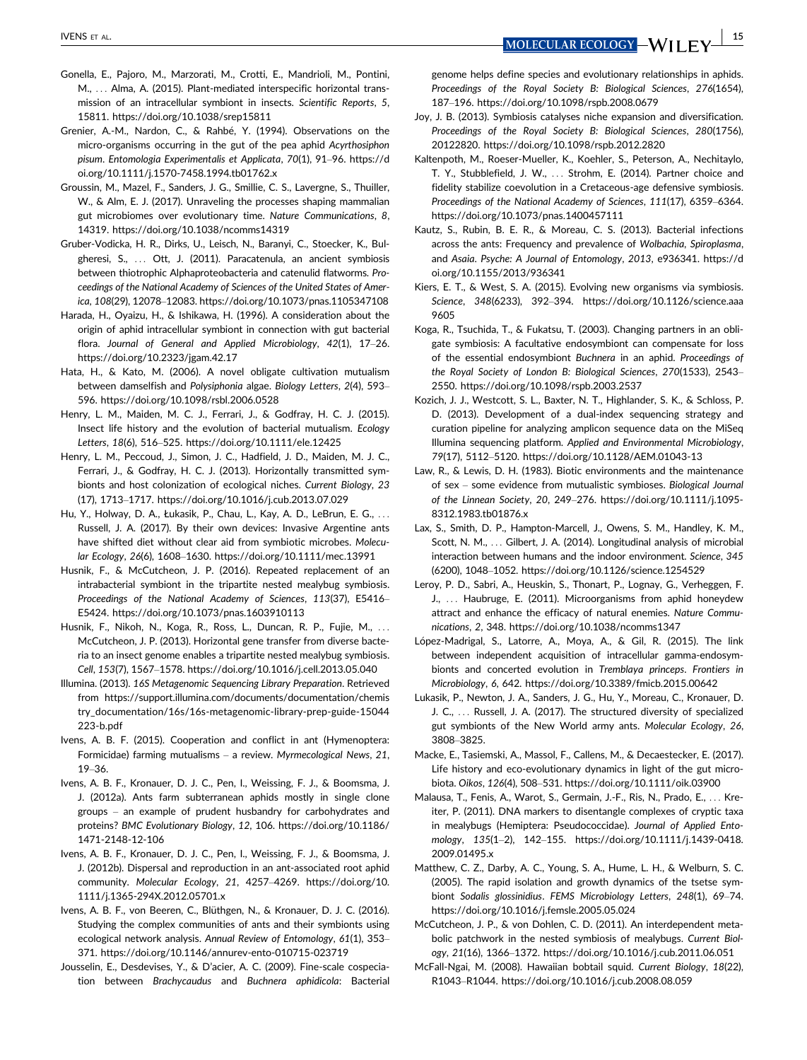- 
- Gonella, E., Pajoro, M., Marzorati, M., Crotti, E., Mandrioli, M., Pontini, M., ... Alma, A. (2015). Plant-mediated interspecific horizontal transmission of an intracellular symbiont in insects. Scientific Reports, 5, 15811.<https://doi.org/10.1038/srep15811>
- Grenier, A.-M., Nardon, C., & Rahbé, Y. (1994). Observations on the micro-organisms occurring in the gut of the pea aphid Acyrthosiphon pisum. Entomologia Experimentalis et Applicata, 70(1), 91–96. [https://d](https://doi.org/10.1111/j.1570-7458.1994.tb01762.x) [oi.org/10.1111/j.1570-7458.1994.tb01762.x](https://doi.org/10.1111/j.1570-7458.1994.tb01762.x)
- Groussin, M., Mazel, F., Sanders, J. G., Smillie, C. S., Lavergne, S., Thuiller, W., & Alm, E. J. (2017). Unraveling the processes shaping mammalian gut microbiomes over evolutionary time. Nature Communications, 8, 14319.<https://doi.org/10.1038/ncomms14319>
- Gruber-Vodicka, H. R., Dirks, U., Leisch, N., Baranyi, C., Stoecker, K., Bulgheresi, S., ... Ott, J. (2011). Paracatenula, an ancient symbiosis between thiotrophic Alphaproteobacteria and catenulid flatworms. Proceedings of the National Academy of Sciences of the United States of America, 108(29), 12078–12083.<https://doi.org/10.1073/pnas.1105347108>
- Harada, H., Oyaizu, H., & Ishikawa, H. (1996). A consideration about the origin of aphid intracellular symbiont in connection with gut bacterial flora. Journal of General and Applied Microbiology, 42(1), 17–26. <https://doi.org/10.2323/jgam.42.17>
- Hata, H., & Kato, M. (2006). A novel obligate cultivation mutualism between damselfish and Polysiphonia algae. Biology Letters, 2(4), 593– 596.<https://doi.org/10.1098/rsbl.2006.0528>
- Henry, L. M., Maiden, M. C. J., Ferrari, J., & Godfray, H. C. J. (2015). Insect life history and the evolution of bacterial mutualism. Ecology Letters, 18(6), 516–525.<https://doi.org/10.1111/ele.12425>
- Henry, L. M., Peccoud, J., Simon, J. C., Hadfield, J. D., Maiden, M. J. C., Ferrari, J., & Godfray, H. C. J. (2013). Horizontally transmitted symbionts and host colonization of ecological niches. Current Biology, 23 (17), 1713–1717.<https://doi.org/10.1016/j.cub.2013.07.029>
- Hu, Y., Holway, D. A., Łukasik, P., Chau, L., Kay, A. D., LeBrun, E. G., ... Russell, J. A. (2017). By their own devices: Invasive Argentine ants have shifted diet without clear aid from symbiotic microbes. Molecular Ecology, 26(6), 1608–1630.<https://doi.org/10.1111/mec.13991>
- Husnik, F., & McCutcheon, J. P. (2016). Repeated replacement of an intrabacterial symbiont in the tripartite nested mealybug symbiosis. Proceedings of the National Academy of Sciences, 113(37), E5416– E5424.<https://doi.org/10.1073/pnas.1603910113>
- Husnik, F., Nikoh, N., Koga, R., Ross, L., Duncan, R. P., Fujie, M., ... McCutcheon, J. P. (2013). Horizontal gene transfer from diverse bacteria to an insect genome enables a tripartite nested mealybug symbiosis. Cell, 153(7), 1567–1578.<https://doi.org/10.1016/j.cell.2013.05.040>
- Illumina. (2013). 16S Metagenomic Sequencing Library Preparation. Retrieved from [https://support.illumina.com/documents/documentation/chemis](https://support.illumina.com/documents/documentation/chemistry_documentation/16s/16s-metagenomic-library-prep-guide-15044223-b.pdf) [try\\_documentation/16s/16s-metagenomic-library-prep-guide-15044](https://support.illumina.com/documents/documentation/chemistry_documentation/16s/16s-metagenomic-library-prep-guide-15044223-b.pdf) [223-b.pdf](https://support.illumina.com/documents/documentation/chemistry_documentation/16s/16s-metagenomic-library-prep-guide-15044223-b.pdf)
- Ivens, A. B. F. (2015). Cooperation and conflict in ant (Hymenoptera: Formicidae) farming mutualisms – a review. Myrmecological News, 21, 19–36.
- Ivens, A. B. F., Kronauer, D. J. C., Pen, I., Weissing, F. J., & Boomsma, J. J. (2012a). Ants farm subterranean aphids mostly in single clone groups – an example of prudent husbandry for carbohydrates and proteins? BMC Evolutionary Biology, 12, 106. [https://doi.org/10.1186/](https://doi.org/10.1186/1471-2148-12-106) [1471-2148-12-106](https://doi.org/10.1186/1471-2148-12-106)
- Ivens, A. B. F., Kronauer, D. J. C., Pen, I., Weissing, F. J., & Boomsma, J. J. (2012b). Dispersal and reproduction in an ant-associated root aphid community. Molecular Ecology, 21, 4257–4269. [https://doi.org/10.](https://doi.org/10.1111/j.1365-294X.2012.05701.x) [1111/j.1365-294X.2012.05701.x](https://doi.org/10.1111/j.1365-294X.2012.05701.x)
- Ivens, A. B. F., von Beeren, C., Blüthgen, N., & Kronauer, D. J. C. (2016). Studying the complex communities of ants and their symbionts using ecological network analysis. Annual Review of Entomology, 61(1), 353– 371.<https://doi.org/10.1146/annurev-ento-010715-023719>
- Jousselin, E., Desdevises, Y., & D'acier, A. C. (2009). Fine-scale cospeciation between Brachycaudus and Buchnera aphidicola: Bacterial

genome helps define species and evolutionary relationships in aphids. Proceedings of the Royal Society B: Biological Sciences, 276(1654), 187–196.<https://doi.org/10.1098/rspb.2008.0679>

- Joy, J. B. (2013). Symbiosis catalyses niche expansion and diversification. Proceedings of the Royal Society B: Biological Sciences, 280(1756), 20122820.<https://doi.org/10.1098/rspb.2012.2820>
- Kaltenpoth, M., Roeser-Mueller, K., Koehler, S., Peterson, A., Nechitaylo, T. Y., Stubblefield, J. W., ... Strohm, E. (2014). Partner choice and fidelity stabilize coevolution in a Cretaceous-age defensive symbiosis. Proceedings of the National Academy of Sciences, 111(17), 6359–6364. <https://doi.org/10.1073/pnas.1400457111>
- Kautz, S., Rubin, B. E. R., & Moreau, C. S. (2013). Bacterial infections across the ants: Frequency and prevalence of Wolbachia, Spiroplasma, and Asaia. Psyche: A Journal of Entomology, 2013, e936341. [https://d](https://doi.org/10.1155/2013/936341) [oi.org/10.1155/2013/936341](https://doi.org/10.1155/2013/936341)
- Kiers, E. T., & West, S. A. (2015). Evolving new organisms via symbiosis. Science, 348(6233), 392–394. [https://doi.org/10.1126/science.aaa](https://doi.org/10.1126/science.aaa9605) [9605](https://doi.org/10.1126/science.aaa9605)
- Koga, R., Tsuchida, T., & Fukatsu, T. (2003). Changing partners in an obligate symbiosis: A facultative endosymbiont can compensate for loss of the essential endosymbiont Buchnera in an aphid. Proceedings of the Royal Society of London B: Biological Sciences, 270(1533), 2543– 2550.<https://doi.org/10.1098/rspb.2003.2537>
- Kozich, J. J., Westcott, S. L., Baxter, N. T., Highlander, S. K., & Schloss, P. D. (2013). Development of a dual-index sequencing strategy and curation pipeline for analyzing amplicon sequence data on the MiSeq Illumina sequencing platform. Applied and Environmental Microbiology, 79(17), 5112–5120.<https://doi.org/10.1128/AEM.01043-13>
- Law, R., & Lewis, D. H. (1983). Biotic environments and the maintenance of sex – some evidence from mutualistic symbioses. Biological Journal of the Linnean Society, 20, 249–276. [https://doi.org/10.1111/j.1095-](https://doi.org/10.1111/j.1095-8312.1983.tb01876.x) [8312.1983.tb01876.x](https://doi.org/10.1111/j.1095-8312.1983.tb01876.x)
- Lax, S., Smith, D. P., Hampton-Marcell, J., Owens, S. M., Handley, K. M., Scott, N. M., ... Gilbert, J. A. (2014). Longitudinal analysis of microbial interaction between humans and the indoor environment. Science, 345 (6200), 1048–1052.<https://doi.org/10.1126/science.1254529>
- Leroy, P. D., Sabri, A., Heuskin, S., Thonart, P., Lognay, G., Verheggen, F. J., ... Haubruge, E. (2011). Microorganisms from aphid honeydew attract and enhance the efficacy of natural enemies. Nature Communications, 2, 348.<https://doi.org/10.1038/ncomms1347>
- López-Madrigal, S., Latorre, A., Moya, A., & Gil, R. (2015). The link between independent acquisition of intracellular gamma-endosymbionts and concerted evolution in Tremblaya princeps. Frontiers in Microbiology, 6, 642.<https://doi.org/10.3389/fmicb.2015.00642>
- Lukasik, P., Newton, J. A., Sanders, J. G., Hu, Y., Moreau, C., Kronauer, D. J. C., ... Russell, J. A. (2017). The structured diversity of specialized gut symbionts of the New World army ants. Molecular Ecology, 26, 3808–3825.
- Macke, E., Tasiemski, A., Massol, F., Callens, M., & Decaestecker, E. (2017). Life history and eco-evolutionary dynamics in light of the gut microbiota. Oikos, 126(4), 508–531.<https://doi.org/10.1111/oik.03900>
- Malausa, T., Fenis, A., Warot, S., Germain, J.-F., Ris, N., Prado, E., ... Kreiter, P. (2011). DNA markers to disentangle complexes of cryptic taxa in mealybugs (Hemiptera: Pseudococcidae). Journal of Applied Entomology, 135(1–2), 142–155. [https://doi.org/10.1111/j.1439-0418.](https://doi.org/10.1111/j.1439-0418.2009.01495.x) [2009.01495.x](https://doi.org/10.1111/j.1439-0418.2009.01495.x)
- Matthew, C. Z., Darby, A. C., Young, S. A., Hume, L. H., & Welburn, S. C. (2005). The rapid isolation and growth dynamics of the tsetse symbiont Sodalis glossinidius. FEMS Microbiology Letters, 248(1), 69–74. <https://doi.org/10.1016/j.femsle.2005.05.024>
- McCutcheon, J. P., & von Dohlen, C. D. (2011). An interdependent metabolic patchwork in the nested symbiosis of mealybugs. Current Biology, 21(16), 1366–1372.<https://doi.org/10.1016/j.cub.2011.06.051>
- McFall-Ngai, M. (2008). Hawaiian bobtail squid. Current Biology, 18(22), R1043–R1044.<https://doi.org/10.1016/j.cub.2008.08.059>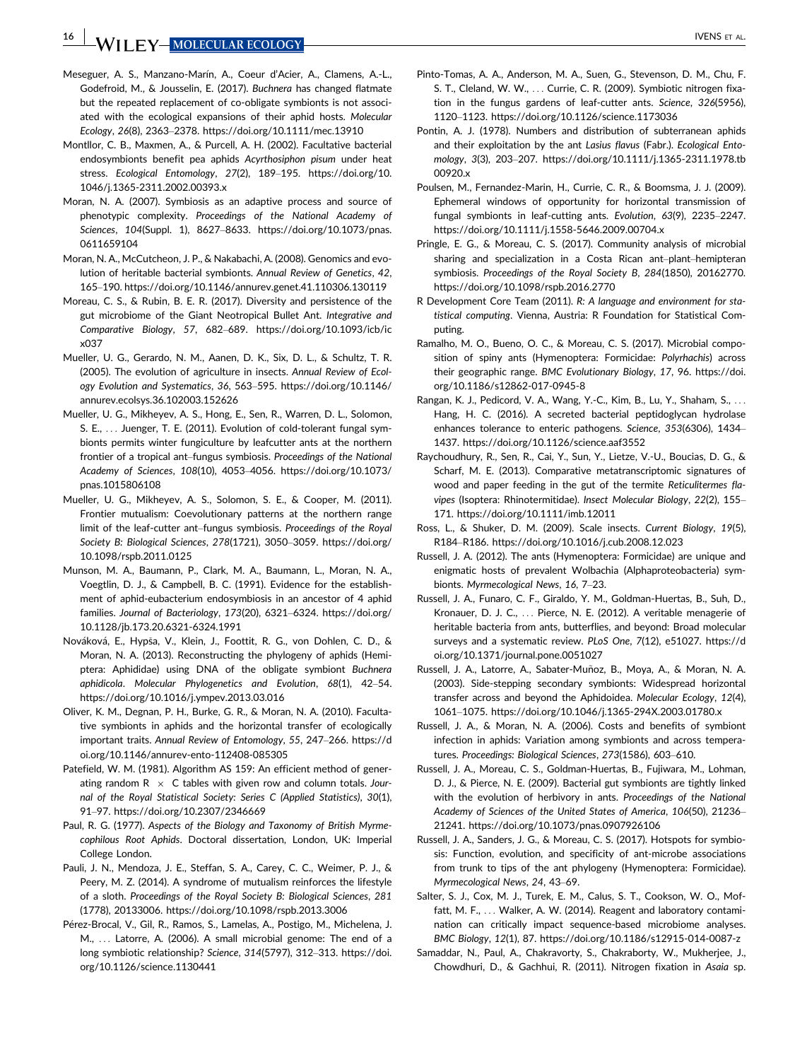- Meseguer, A. S., Manzano-Marín, A., Coeur d'Acier, A., Clamens, A.-L., Godefroid, M., & Jousselin, E. (2017). Buchnera has changed flatmate but the repeated replacement of co-obligate symbionts is not associated with the ecological expansions of their aphid hosts. Molecular Ecology, 26(8), 2363–2378.<https://doi.org/10.1111/mec.13910>
- Montllor, C. B., Maxmen, A., & Purcell, A. H. (2002). Facultative bacterial endosymbionts benefit pea aphids Acyrthosiphon pisum under heat stress. Ecological Entomology, 27(2), 189–195. [https://doi.org/10.](https://doi.org/10.1046/j.1365-2311.2002.00393.x) [1046/j.1365-2311.2002.00393.x](https://doi.org/10.1046/j.1365-2311.2002.00393.x)
- Moran, N. A. (2007). Symbiosis as an adaptive process and source of phenotypic complexity. Proceedings of the National Academy of Sciences, 104(Suppl. 1), 8627–8633. [https://doi.org/10.1073/pnas.](https://doi.org/10.1073/pnas.0611659104) [0611659104](https://doi.org/10.1073/pnas.0611659104)
- Moran, N. A., McCutcheon, J. P., & Nakabachi, A. (2008). Genomics and evolution of heritable bacterial symbionts. Annual Review of Genetics, 42, 165–190.<https://doi.org/10.1146/annurev.genet.41.110306.130119>
- Moreau, C. S., & Rubin, B. E. R. (2017). Diversity and persistence of the gut microbiome of the Giant Neotropical Bullet Ant. Integrative and Comparative Biology, 57, 682–689. [https://doi.org/10.1093/icb/ic](https://doi.org/10.1093/icb/icx037) [x037](https://doi.org/10.1093/icb/icx037)
- Mueller, U. G., Gerardo, N. M., Aanen, D. K., Six, D. L., & Schultz, T. R. (2005). The evolution of agriculture in insects. Annual Review of Ecology Evolution and Systematics, 36, 563–595. [https://doi.org/10.1146/](https://doi.org/10.1146/annurev.ecolsys.36.102003.152626) [annurev.ecolsys.36.102003.152626](https://doi.org/10.1146/annurev.ecolsys.36.102003.152626)
- Mueller, U. G., Mikheyev, A. S., Hong, E., Sen, R., Warren, D. L., Solomon, S. E., ... Juenger, T. E. (2011). Evolution of cold-tolerant fungal symbionts permits winter fungiculture by leafcutter ants at the northern frontier of a tropical ant–fungus symbiosis. Proceedings of the National Academy of Sciences, 108(10), 4053–4056. [https://doi.org/10.1073/](https://doi.org/10.1073/pnas.1015806108) [pnas.1015806108](https://doi.org/10.1073/pnas.1015806108)
- Mueller, U. G., Mikheyev, A. S., Solomon, S. E., & Cooper, M. (2011). Frontier mutualism: Coevolutionary patterns at the northern range limit of the leaf-cutter ant–fungus symbiosis. Proceedings of the Royal Society B: Biological Sciences, 278(1721), 3050–3059. [https://doi.org/](https://doi.org/10.1098/rspb.2011.0125) [10.1098/rspb.2011.0125](https://doi.org/10.1098/rspb.2011.0125)
- Munson, M. A., Baumann, P., Clark, M. A., Baumann, L., Moran, N. A., Voegtlin, D. J., & Campbell, B. C. (1991). Evidence for the establishment of aphid-eubacterium endosymbiosis in an ancestor of 4 aphid families. Journal of Bacteriology, 173(20), 6321–6324. [https://doi.org/](https://doi.org/10.1128/jb.173.20.6321-6324.1991) [10.1128/jb.173.20.6321-6324.1991](https://doi.org/10.1128/jb.173.20.6321-6324.1991)
- Nováková, E., Hypša, V., Klein, J., Foottit, R. G., von Dohlen, C. D., & Moran, N. A. (2013). Reconstructing the phylogeny of aphids (Hemiptera: Aphididae) using DNA of the obligate symbiont Buchnera aphidicola. Molecular Phylogenetics and Evolution, 68(1), 42–54. <https://doi.org/10.1016/j.ympev.2013.03.016>
- Oliver, K. M., Degnan, P. H., Burke, G. R., & Moran, N. A. (2010). Facultative symbionts in aphids and the horizontal transfer of ecologically important traits. Annual Review of Entomology, 55, 247–266. [https://d](https://doi.org/10.1146/annurev-ento-112408-085305) [oi.org/10.1146/annurev-ento-112408-085305](https://doi.org/10.1146/annurev-ento-112408-085305)
- Patefield, W. M. (1981). Algorithm AS 159: An efficient method of generating random  $R \times C$  tables with given row and column totals. Journal of the Royal Statistical Society: Series C (Applied Statistics), 30(1), 91–97.<https://doi.org/10.2307/2346669>
- Paul, R. G. (1977). Aspects of the Biology and Taxonomy of British Myrmecophilous Root Aphids. Doctoral dissertation, London, UK: Imperial College London.
- Pauli, J. N., Mendoza, J. E., Steffan, S. A., Carey, C. C., Weimer, P. J., & Peery, M. Z. (2014). A syndrome of mutualism reinforces the lifestyle of a sloth. Proceedings of the Royal Society B: Biological Sciences, 281 (1778), 20133006.<https://doi.org/10.1098/rspb.2013.3006>
- Pérez-Brocal, V., Gil, R., Ramos, S., Lamelas, A., Postigo, M., Michelena, J. M., ... Latorre, A. (2006). A small microbial genome: The end of a long symbiotic relationship? Science, 314(5797), 312–313. [https://doi.](https://doi.org/10.1126/science.1130441) [org/10.1126/science.1130441](https://doi.org/10.1126/science.1130441)
- Pinto-Tomas, A. A., Anderson, M. A., Suen, G., Stevenson, D. M., Chu, F. S. T., Cleland, W. W., ... Currie, C. R. (2009). Symbiotic nitrogen fixation in the fungus gardens of leaf-cutter ants. Science, 326(5956), 1120–1123.<https://doi.org/10.1126/science.1173036>
- Pontin, A. J. (1978). Numbers and distribution of subterranean aphids and their exploitation by the ant Lasius flavus (Fabr.). Ecological Entomology, 3(3), 203–207. [https://doi.org/10.1111/j.1365-2311.1978.tb](https://doi.org/10.1111/j.1365-2311.1978.tb00920.x) [00920.x](https://doi.org/10.1111/j.1365-2311.1978.tb00920.x)
- Poulsen, M., Fernandez-Marin, H., Currie, C. R., & Boomsma, J. J. (2009). Ephemeral windows of opportunity for horizontal transmission of fungal symbionts in leaf-cutting ants. Evolution, 63(9), 2235–2247. <https://doi.org/10.1111/j.1558-5646.2009.00704.x>
- Pringle, E. G., & Moreau, C. S. (2017). Community analysis of microbial sharing and specialization in a Costa Rican ant–plant–hemipteran symbiosis. Proceedings of the Royal Society B, 284(1850), 20162770. <https://doi.org/10.1098/rspb.2016.2770>
- R Development Core Team (2011). R: A language and environment for statistical computing. Vienna, Austria: R Foundation for Statistical Computing.
- Ramalho, M. O., Bueno, O. C., & Moreau, C. S. (2017). Microbial composition of spiny ants (Hymenoptera: Formicidae: Polyrhachis) across their geographic range. BMC Evolutionary Biology, 17, 96. [https://doi.](https://doi.org/10.1186/s12862-017-0945-8) [org/10.1186/s12862-017-0945-8](https://doi.org/10.1186/s12862-017-0945-8)
- Rangan, K. J., Pedicord, V. A., Wang, Y.-C., Kim, B., Lu, Y., Shaham, S., ... Hang, H. C. (2016). A secreted bacterial peptidoglycan hydrolase enhances tolerance to enteric pathogens. Science, 353(6306), 1434– 1437.<https://doi.org/10.1126/science.aaf3552>
- Raychoudhury, R., Sen, R., Cai, Y., Sun, Y., Lietze, V.-U., Boucias, D. G., & Scharf, M. E. (2013). Comparative metatranscriptomic signatures of wood and paper feeding in the gut of the termite Reticulitermes flavipes (Isoptera: Rhinotermitidae). Insect Molecular Biology, 22(2), 155– 171.<https://doi.org/10.1111/imb.12011>
- Ross, L., & Shuker, D. M. (2009). Scale insects. Current Biology, 19(5), R184–R186.<https://doi.org/10.1016/j.cub.2008.12.023>
- Russell, J. A. (2012). The ants (Hymenoptera: Formicidae) are unique and enigmatic hosts of prevalent Wolbachia (Alphaproteobacteria) symbionts. Myrmecological News, 16, 7–23.
- Russell, J. A., Funaro, C. F., Giraldo, Y. M., Goldman-Huertas, B., Suh, D., Kronauer, D. J. C., ... Pierce, N. E. (2012). A veritable menagerie of heritable bacteria from ants, butterflies, and beyond: Broad molecular surveys and a systematic review. PLoS One, 7(12), e51027. [https://d](https://doi.org/10.1371/journal.pone.0051027) [oi.org/10.1371/journal.pone.0051027](https://doi.org/10.1371/journal.pone.0051027)
- Russell, J. A., Latorre, A., Sabater-Muñoz, B., Moya, A., & Moran, N. A. (2003). Side-stepping secondary symbionts: Widespread horizontal transfer across and beyond the Aphidoidea. Molecular Ecology, 12(4), 1061–1075.<https://doi.org/10.1046/j.1365-294X.2003.01780.x>
- Russell, J. A., & Moran, N. A. (2006). Costs and benefits of symbiont infection in aphids: Variation among symbionts and across temperatures. Proceedings: Biological Sciences, 273(1586), 603–610.
- Russell, J. A., Moreau, C. S., Goldman-Huertas, B., Fujiwara, M., Lohman, D. J., & Pierce, N. E. (2009). Bacterial gut symbionts are tightly linked with the evolution of herbivory in ants. Proceedings of the National Academy of Sciences of the United States of America, 106(50), 21236– 21241.<https://doi.org/10.1073/pnas.0907926106>
- Russell, J. A., Sanders, J. G., & Moreau, C. S. (2017). Hotspots for symbiosis: Function, evolution, and specificity of ant-microbe associations from trunk to tips of the ant phylogeny (Hymenoptera: Formicidae). Myrmecological News, 24, 43–69.
- Salter, S. J., Cox, M. J., Turek, E. M., Calus, S. T., Cookson, W. O., Moffatt, M. F., ... Walker, A. W. (2014). Reagent and laboratory contamination can critically impact sequence-based microbiome analyses. BMC Biology, 12(1), 87.<https://doi.org/10.1186/s12915-014-0087-z>
- Samaddar, N., Paul, A., Chakravorty, S., Chakraborty, W., Mukherjee, J., Chowdhuri, D., & Gachhui, R. (2011). Nitrogen fixation in Asaia sp.